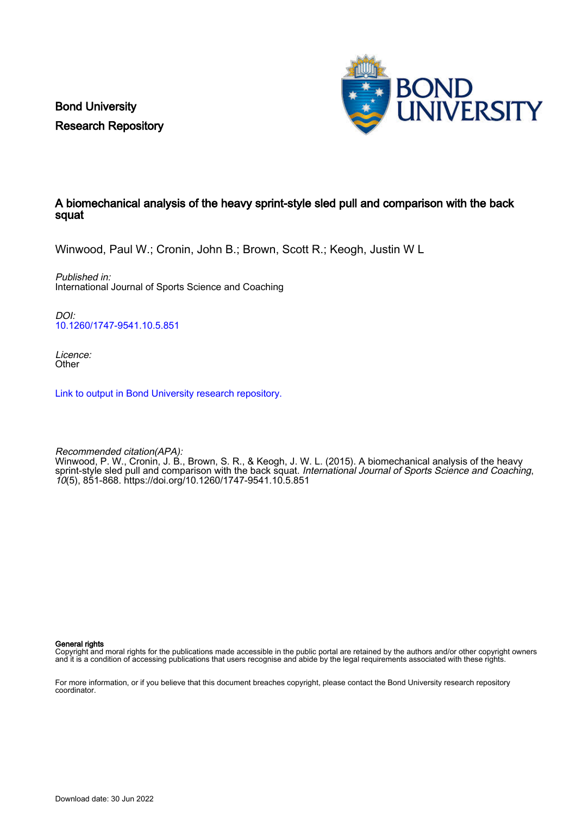Bond University Research Repository



# A biomechanical analysis of the heavy sprint-style sled pull and comparison with the back squat

Winwood, Paul W.; Cronin, John B.; Brown, Scott R.; Keogh, Justin W L

Published in: International Journal of Sports Science and Coaching

DOI: [10.1260/1747-9541.10.5.851](https://doi.org/10.1260/1747-9541.10.5.851)

Licence: **Other** 

[Link to output in Bond University research repository.](https://research.bond.edu.au/en/publications/2dab0a03-c226-4b8f-ae10-98e27d84450e)

Recommended citation(APA): Winwood, P. W., Cronin, J. B., Brown, S. R., & Keogh, J. W. L. (2015). A biomechanical analysis of the heavy sprint-style sled pull and comparison with the back squat. International Journal of Sports Science and Coaching, 10(5), 851-868.<https://doi.org/10.1260/1747-9541.10.5.851>

General rights

Copyright and moral rights for the publications made accessible in the public portal are retained by the authors and/or other copyright owners and it is a condition of accessing publications that users recognise and abide by the legal requirements associated with these rights.

For more information, or if you believe that this document breaches copyright, please contact the Bond University research repository coordinator.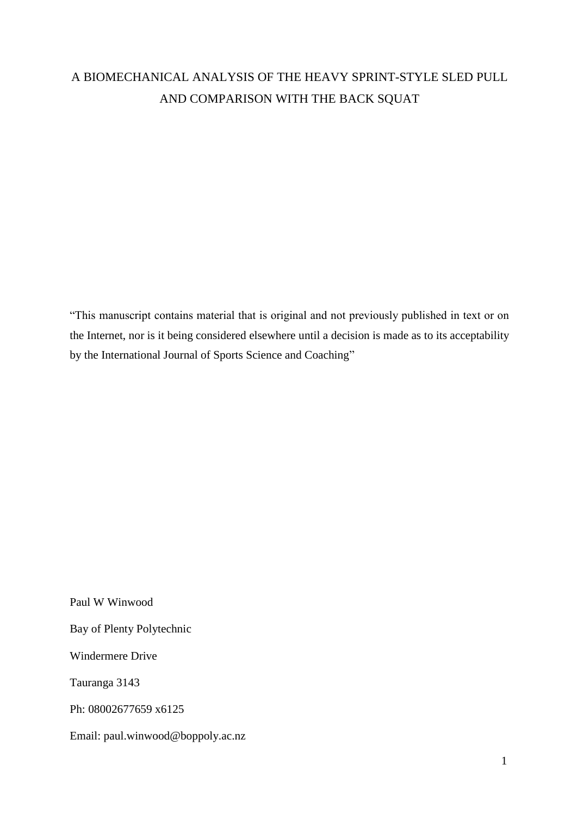# A BIOMECHANICAL ANALYSIS OF THE HEAVY SPRINT-STYLE SLED PULL AND COMPARISON WITH THE BACK SQUAT

"This manuscript contains material that is original and not previously published in text or on the Internet, nor is it being considered elsewhere until a decision is made as to its acceptability by the International Journal of Sports Science and Coaching"

Paul W Winwood Bay of Plenty Polytechnic Windermere Drive Tauranga 3143 Ph: 08002677659 x6125 Email: paul.winwood@boppoly.ac.nz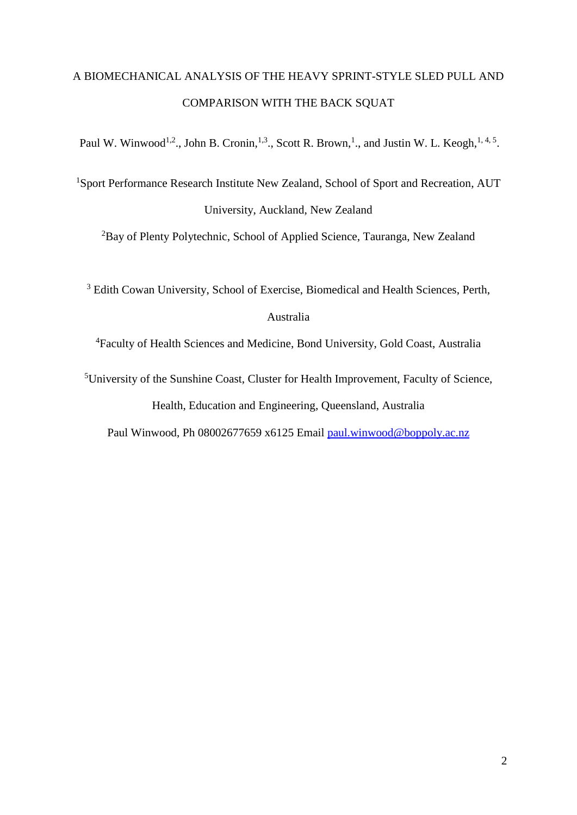# A BIOMECHANICAL ANALYSIS OF THE HEAVY SPRINT-STYLE SLED PULL AND COMPARISON WITH THE BACK SQUAT

Paul W. Winwood<sup>1,2</sup>., John B. Cronin,<sup>1,3</sup>., Scott R. Brown,<sup>1</sup>., and Justin W. L. Keogh,<sup>1,4,5</sup>.

<sup>1</sup>Sport Performance Research Institute New Zealand, School of Sport and Recreation, AUT University, Auckland, New Zealand

<sup>2</sup>Bay of Plenty Polytechnic, School of Applied Science, Tauranga, New Zealand

<sup>3</sup> Edith Cowan University, School of Exercise, Biomedical and Health Sciences, Perth,

# Australia

<sup>4</sup>Faculty of Health Sciences and Medicine, Bond University, Gold Coast, Australia

<sup>5</sup>University of the Sunshine Coast, Cluster for Health Improvement, [Faculty of Science,](http://www.usc.edu.au/university/faculties-and-divisions/faculty-of-science-health-education-and-engineering/)  [Health, Education and Engineering,](http://www.usc.edu.au/university/faculties-and-divisions/faculty-of-science-health-education-and-engineering/) Queensland, Australia

Paul Winwood, Ph 08002677659 x6125 Email [paul.winwood@boppoly.ac.nz](mailto:paul.winwood@boppoly.ac.nz)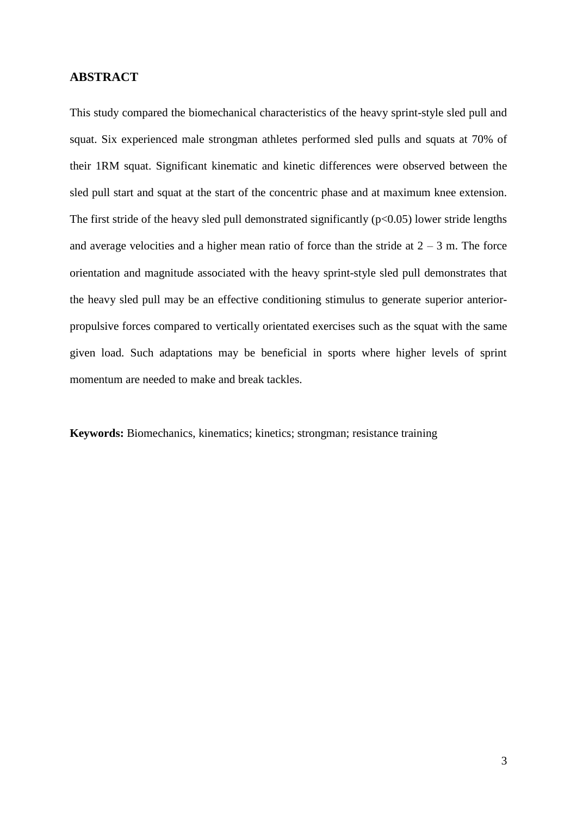## **ABSTRACT**

This study compared the biomechanical characteristics of the heavy sprint-style sled pull and squat. Six experienced male strongman athletes performed sled pulls and squats at 70% of their 1RM squat. Significant kinematic and kinetic differences were observed between the sled pull start and squat at the start of the concentric phase and at maximum knee extension. The first stride of the heavy sled pull demonstrated significantly  $(p<0.05)$  lower stride lengths and average velocities and a higher mean ratio of force than the stride at  $2 - 3$  m. The force orientation and magnitude associated with the heavy sprint-style sled pull demonstrates that the heavy sled pull may be an effective conditioning stimulus to generate superior anteriorpropulsive forces compared to vertically orientated exercises such as the squat with the same given load. Such adaptations may be beneficial in sports where higher levels of sprint momentum are needed to make and break tackles.

**Keywords:** Biomechanics, kinematics; kinetics; strongman; resistance training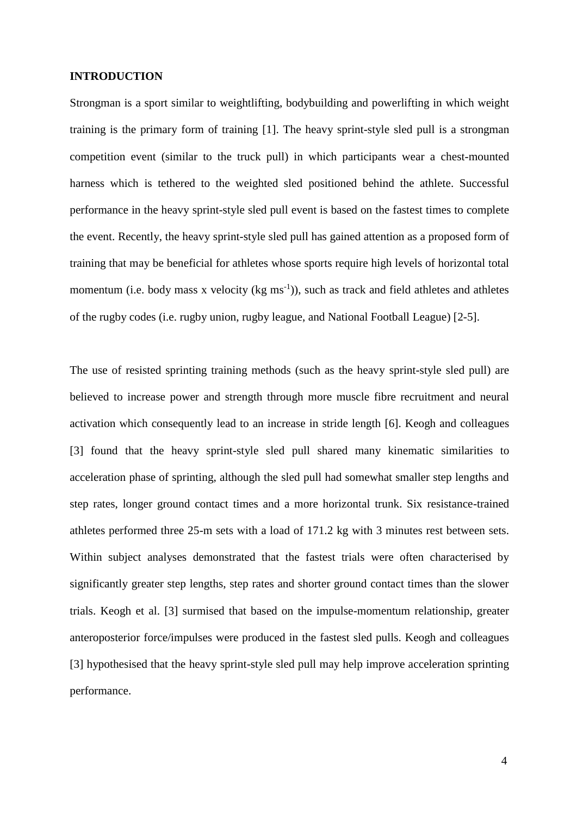#### **INTRODUCTION**

Strongman is a sport similar to weightlifting, bodybuilding and powerlifting in which weight training is the primary form of training [1]. The heavy sprint-style sled pull is a strongman competition event (similar to the truck pull) in which participants wear a chest-mounted harness which is tethered to the weighted sled positioned behind the athlete. Successful performance in the heavy sprint-style sled pull event is based on the fastest times to complete the event. Recently, the heavy sprint-style sled pull has gained attention as a proposed form of training that may be beneficial for athletes whose sports require high levels of horizontal total momentum (i.e. body mass x velocity ( $kg \text{ ms}^{-1}$ )), such as track and field athletes and athletes of the rugby codes (i.e. rugby union, rugby league, and National Football League) [2-5].

The use of resisted sprinting training methods (such as the heavy sprint-style sled pull) are believed to increase power and strength through more muscle fibre recruitment and neural activation which consequently lead to an increase in stride length [6]. Keogh and colleagues [3] found that the heavy sprint-style sled pull shared many kinematic similarities to acceleration phase of sprinting, although the sled pull had somewhat smaller step lengths and step rates, longer ground contact times and a more horizontal trunk. Six resistance-trained athletes performed three 25-m sets with a load of 171.2 kg with 3 minutes rest between sets. Within subject analyses demonstrated that the fastest trials were often characterised by significantly greater step lengths, step rates and shorter ground contact times than the slower trials. Keogh et al. [3] surmised that based on the impulse-momentum relationship, greater anteroposterior force/impulses were produced in the fastest sled pulls. Keogh and colleagues [3] hypothesised that the heavy sprint-style sled pull may help improve acceleration sprinting performance.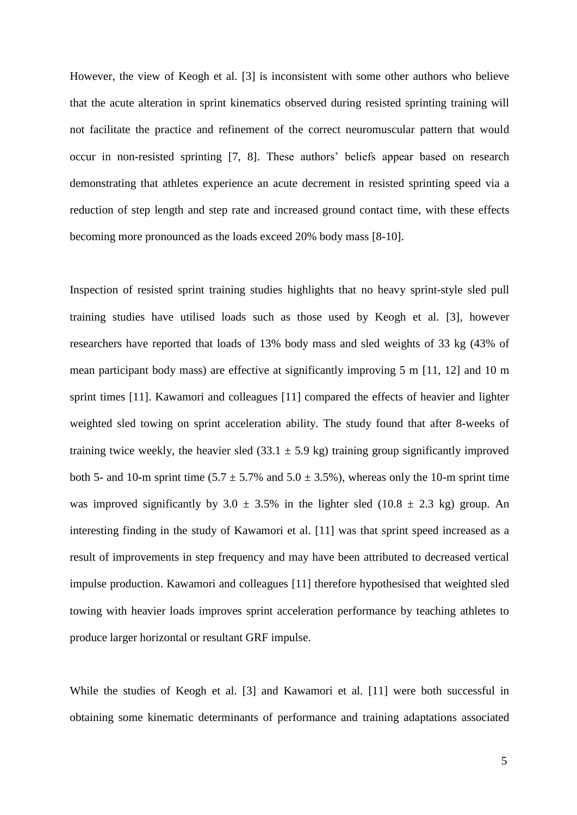However, the view of Keogh et al. [3] is inconsistent with some other authors who believe that the acute alteration in sprint kinematics observed during resisted sprinting training will not facilitate the practice and refinement of the correct neuromuscular pattern that would occur in non-resisted sprinting [7, 8]. These authors' beliefs appear based on research demonstrating that athletes experience an acute decrement in resisted sprinting speed via a reduction of step length and step rate and increased ground contact time, with these effects becoming more pronounced as the loads exceed 20% body mass [8-10].

Inspection of resisted sprint training studies highlights that no heavy sprint-style sled pull training studies have utilised loads such as those used by Keogh et al. [3], however researchers have reported that loads of 13% body mass and sled weights of 33 kg (43% of mean participant body mass) are effective at significantly improving 5 m [11, 12] and 10 m sprint times [11]. Kawamori and colleagues [11] compared the effects of heavier and lighter weighted sled towing on sprint acceleration ability. The study found that after 8-weeks of training twice weekly, the heavier sled  $(33.1 \pm 5.9 \text{ kg})$  training group significantly improved both 5- and 10-m sprint time  $(5.7 \pm 5.7\%$  and  $5.0 \pm 3.5\%$ ), whereas only the 10-m sprint time was improved significantly by  $3.0 \pm 3.5\%$  in the lighter sled (10.8  $\pm$  2.3 kg) group. An interesting finding in the study of Kawamori et al. [11] was that sprint speed increased as a result of improvements in step frequency and may have been attributed to decreased vertical impulse production. Kawamori and colleagues [11] therefore hypothesised that weighted sled towing with heavier loads improves sprint acceleration performance by teaching athletes to produce larger horizontal or resultant GRF impulse.

While the studies of Keogh et al. [3] and Kawamori et al. [11] were both successful in obtaining some kinematic determinants of performance and training adaptations associated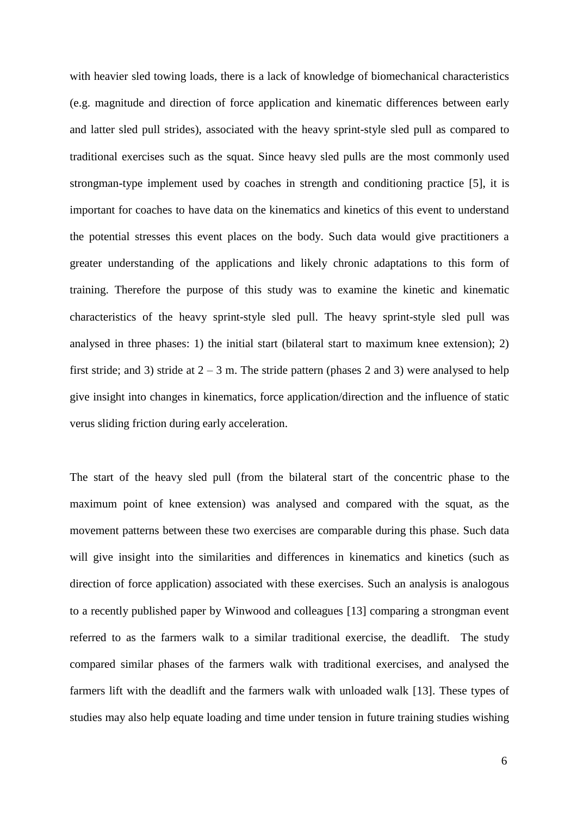with heavier sled towing loads, there is a lack of knowledge of biomechanical characteristics (e.g. magnitude and direction of force application and kinematic differences between early and latter sled pull strides), associated with the heavy sprint-style sled pull as compared to traditional exercises such as the squat. Since heavy sled pulls are the most commonly used strongman-type implement used by coaches in strength and conditioning practice [5], it is important for coaches to have data on the kinematics and kinetics of this event to understand the potential stresses this event places on the body. Such data would give practitioners a greater understanding of the applications and likely chronic adaptations to this form of training. Therefore the purpose of this study was to examine the kinetic and kinematic characteristics of the heavy sprint-style sled pull. The heavy sprint-style sled pull was analysed in three phases: 1) the initial start (bilateral start to maximum knee extension); 2) first stride; and 3) stride at  $2 - 3$  m. The stride pattern (phases 2 and 3) were analysed to help give insight into changes in kinematics, force application/direction and the influence of static verus sliding friction during early acceleration.

The start of the heavy sled pull (from the bilateral start of the concentric phase to the maximum point of knee extension) was analysed and compared with the squat, as the movement patterns between these two exercises are comparable during this phase. Such data will give insight into the similarities and differences in kinematics and kinetics (such as direction of force application) associated with these exercises. Such an analysis is analogous to a recently published paper by Winwood and colleagues [13] comparing a strongman event referred to as the farmers walk to a similar traditional exercise, the deadlift. The study compared similar phases of the farmers walk with traditional exercises, and analysed the farmers lift with the deadlift and the farmers walk with unloaded walk [13]. These types of studies may also help equate loading and time under tension in future training studies wishing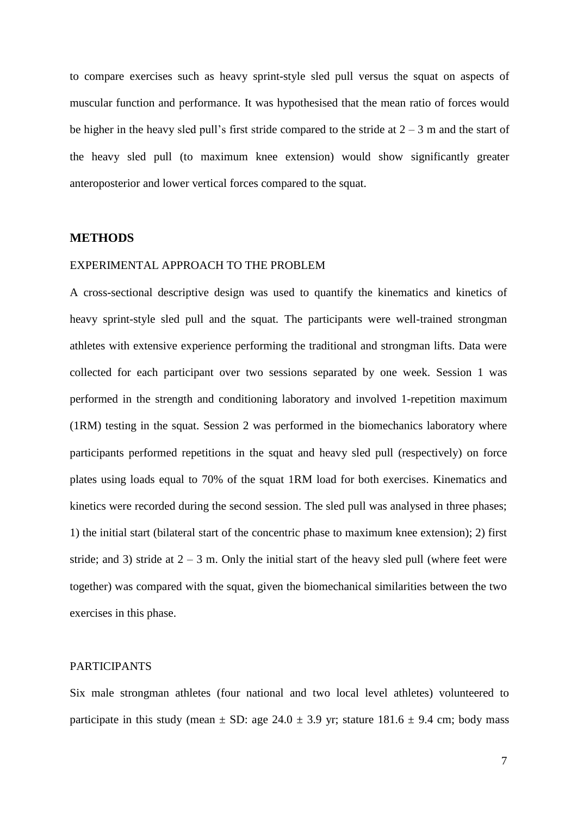to compare exercises such as heavy sprint-style sled pull versus the squat on aspects of muscular function and performance. It was hypothesised that the mean ratio of forces would be higher in the heavy sled pull's first stride compared to the stride at  $2 - 3$  m and the start of the heavy sled pull (to maximum knee extension) would show significantly greater anteroposterior and lower vertical forces compared to the squat.

# **METHODS**

#### EXPERIMENTAL APPROACH TO THE PROBLEM

A cross-sectional descriptive design was used to quantify the kinematics and kinetics of heavy sprint-style sled pull and the squat. The participants were well-trained strongman athletes with extensive experience performing the traditional and strongman lifts. Data were collected for each participant over two sessions separated by one week. Session 1 was performed in the strength and conditioning laboratory and involved 1-repetition maximum (1RM) testing in the squat. Session 2 was performed in the biomechanics laboratory where participants performed repetitions in the squat and heavy sled pull (respectively) on force plates using loads equal to 70% of the squat 1RM load for both exercises. Kinematics and kinetics were recorded during the second session. The sled pull was analysed in three phases; 1) the initial start (bilateral start of the concentric phase to maximum knee extension); 2) first stride; and 3) stride at  $2 - 3$  m. Only the initial start of the heavy sled pull (where feet were together) was compared with the squat, given the biomechanical similarities between the two exercises in this phase.

# PARTICIPANTS

Six male strongman athletes (four national and two local level athletes) volunteered to participate in this study (mean  $\pm$  SD: age 24.0  $\pm$  3.9 yr; stature 181.6  $\pm$  9.4 cm; body mass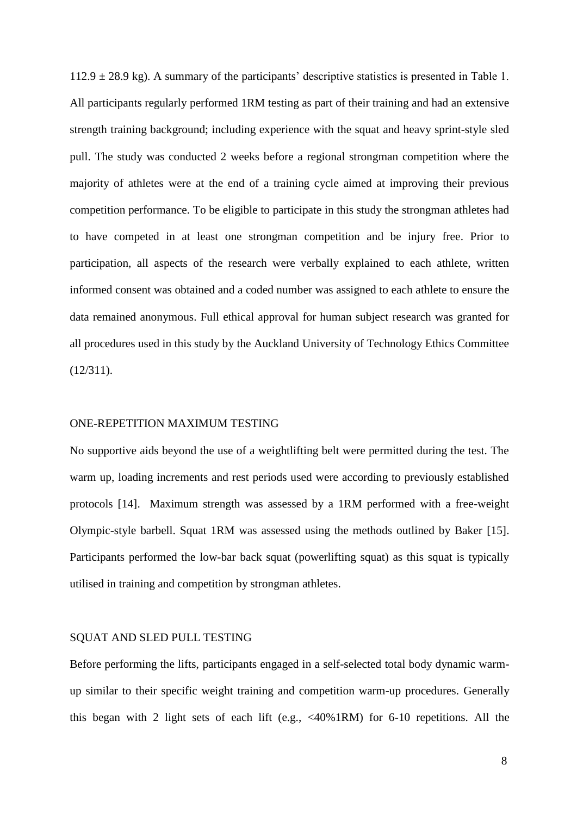$112.9 \pm 28.9$  kg). A summary of the participants' descriptive statistics is presented in Table 1. All participants regularly performed 1RM testing as part of their training and had an extensive strength training background; including experience with the squat and heavy sprint-style sled pull. The study was conducted 2 weeks before a regional strongman competition where the majority of athletes were at the end of a training cycle aimed at improving their previous competition performance. To be eligible to participate in this study the strongman athletes had to have competed in at least one strongman competition and be injury free. Prior to participation, all aspects of the research were verbally explained to each athlete, written informed consent was obtained and a coded number was assigned to each athlete to ensure the data remained anonymous. Full ethical approval for human subject research was granted for all procedures used in this study by the Auckland University of Technology Ethics Committee (12/311).

#### ONE-REPETITION MAXIMUM TESTING

No supportive aids beyond the use of a weightlifting belt were permitted during the test. The warm up, loading increments and rest periods used were according to previously established protocols [14]. Maximum strength was assessed by a 1RM performed with a free-weight Olympic-style barbell. Squat 1RM was assessed using the methods outlined by Baker [15]. Participants performed the low-bar back squat (powerlifting squat) as this squat is typically utilised in training and competition by strongman athletes.

#### SQUAT AND SLED PULL TESTING

Before performing the lifts, participants engaged in a self-selected total body dynamic warmup similar to their specific weight training and competition warm-up procedures. Generally this began with 2 light sets of each lift (e.g.,  $\langle 40\% 1RM \rangle$  for 6-10 repetitions. All the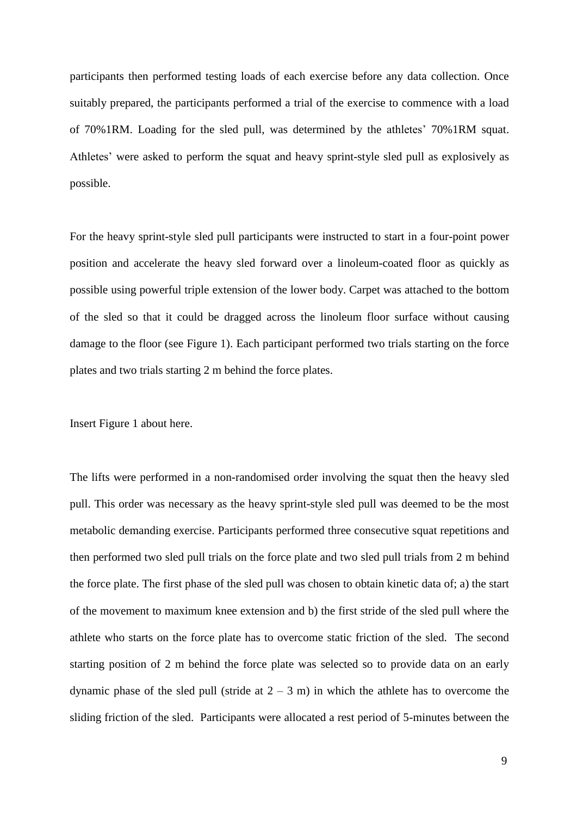participants then performed testing loads of each exercise before any data collection. Once suitably prepared, the participants performed a trial of the exercise to commence with a load of 70%1RM. Loading for the sled pull, was determined by the athletes' 70%1RM squat. Athletes' were asked to perform the squat and heavy sprint-style sled pull as explosively as possible.

For the heavy sprint-style sled pull participants were instructed to start in a four-point power position and accelerate the heavy sled forward over a linoleum-coated floor as quickly as possible using powerful triple extension of the lower body. Carpet was attached to the bottom of the sled so that it could be dragged across the linoleum floor surface without causing damage to the floor (see Figure 1). Each participant performed two trials starting on the force plates and two trials starting 2 m behind the force plates.

Insert Figure 1 about here.

The lifts were performed in a non-randomised order involving the squat then the heavy sled pull. This order was necessary as the heavy sprint-style sled pull was deemed to be the most metabolic demanding exercise. Participants performed three consecutive squat repetitions and then performed two sled pull trials on the force plate and two sled pull trials from 2 m behind the force plate. The first phase of the sled pull was chosen to obtain kinetic data of; a) the start of the movement to maximum knee extension and b) the first stride of the sled pull where the athlete who starts on the force plate has to overcome static friction of the sled. The second starting position of 2 m behind the force plate was selected so to provide data on an early dynamic phase of the sled pull (stride at  $2 - 3$  m) in which the athlete has to overcome the sliding friction of the sled. Participants were allocated a rest period of 5-minutes between the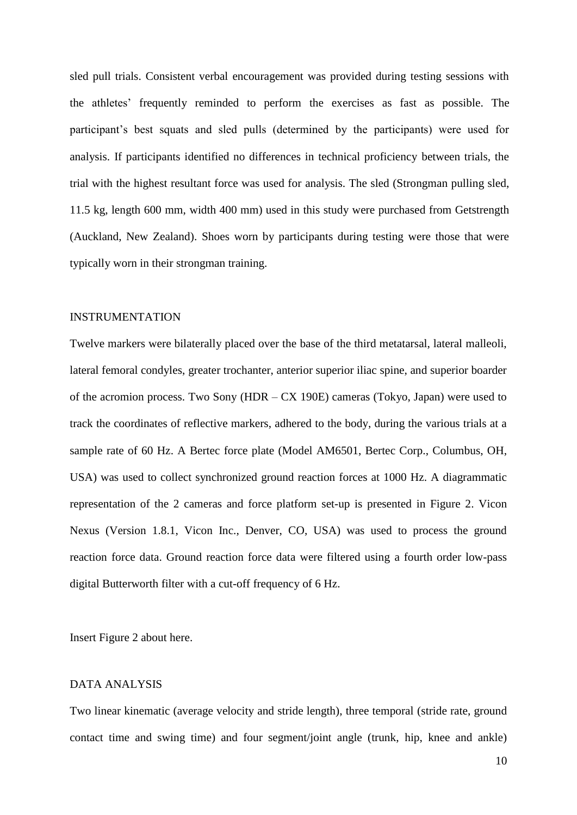sled pull trials. Consistent verbal encouragement was provided during testing sessions with the athletes' frequently reminded to perform the exercises as fast as possible. The participant's best squats and sled pulls (determined by the participants) were used for analysis. If participants identified no differences in technical proficiency between trials, the trial with the highest resultant force was used for analysis. The sled (Strongman pulling sled, 11.5 kg, length 600 mm, width 400 mm) used in this study were purchased from Getstrength (Auckland, New Zealand). Shoes worn by participants during testing were those that were typically worn in their strongman training.

#### INSTRUMENTATION

Twelve markers were bilaterally placed over the base of the third metatarsal, lateral malleoli, lateral femoral condyles, greater trochanter, anterior superior iliac spine, and superior boarder of the acromion process. Two Sony (HDR – CX 190E) cameras (Tokyo, Japan) were used to track the coordinates of reflective markers, adhered to the body, during the various trials at a sample rate of 60 Hz. A Bertec force plate (Model AM6501, Bertec Corp., Columbus, OH, USA) was used to collect synchronized ground reaction forces at 1000 Hz. A diagrammatic representation of the 2 cameras and force platform set-up is presented in Figure 2. Vicon Nexus (Version 1.8.1, Vicon Inc., Denver, CO, USA) was used to process the ground reaction force data. Ground reaction force data were filtered using a fourth order low-pass digital Butterworth filter with a cut-off frequency of 6 Hz.

Insert Figure 2 about here.

#### DATA ANALYSIS

Two linear kinematic (average velocity and stride length), three temporal (stride rate, ground contact time and swing time) and four segment/joint angle (trunk, hip, knee and ankle)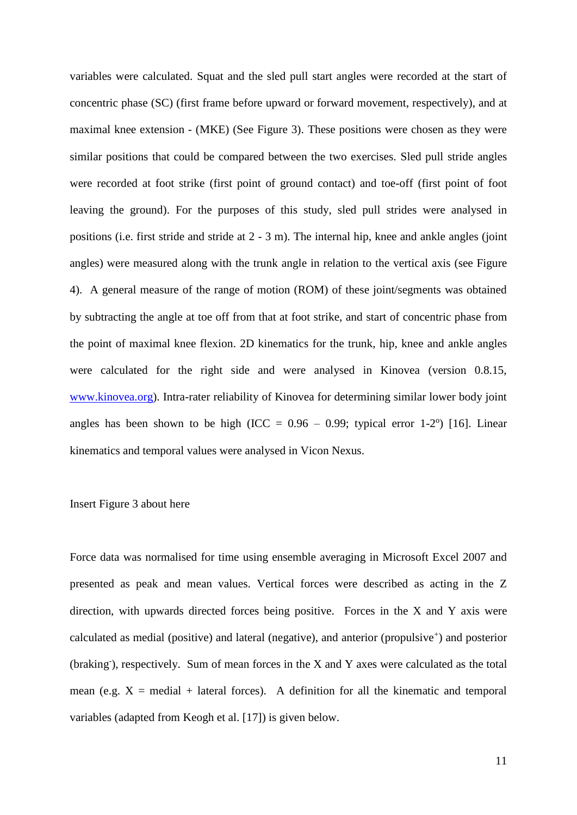variables were calculated. Squat and the sled pull start angles were recorded at the start of concentric phase (SC) (first frame before upward or forward movement, respectively), and at maximal knee extension - (MKE) (See Figure 3). These positions were chosen as they were similar positions that could be compared between the two exercises. Sled pull stride angles were recorded at foot strike (first point of ground contact) and toe-off (first point of foot leaving the ground). For the purposes of this study, sled pull strides were analysed in positions (i.e. first stride and stride at 2 - 3 m). The internal hip, knee and ankle angles (joint angles) were measured along with the trunk angle in relation to the vertical axis (see Figure 4). A general measure of the range of motion (ROM) of these joint/segments was obtained by subtracting the angle at toe off from that at foot strike, and start of concentric phase from the point of maximal knee flexion. 2D kinematics for the trunk, hip, knee and ankle angles were calculated for the right side and were analysed in Kinovea (version 0.8.15, [www.kinovea.org\)](http://www.kinovea.org/). Intra-rater reliability of Kinovea for determining similar lower body joint angles has been shown to be high (ICC =  $0.96 - 0.99$ ; typical error 1-2°) [16]. Linear kinematics and temporal values were analysed in Vicon Nexus.

### Insert Figure 3 about here

Force data was normalised for time using ensemble averaging in Microsoft Excel 2007 and presented as peak and mean values. Vertical forces were described as acting in the Z direction, with upwards directed forces being positive. Forces in the X and Y axis were calculated as medial (positive) and lateral (negative), and anterior (propulsive<sup>+</sup>) and posterior  $(braking)$ , respectively. Sum of mean forces in the X and Y axes were calculated as the total mean (e.g.  $X = \text{median} + \text{lateral forces}$ ). A definition for all the kinematic and temporal variables (adapted from Keogh et al. [17]) is given below.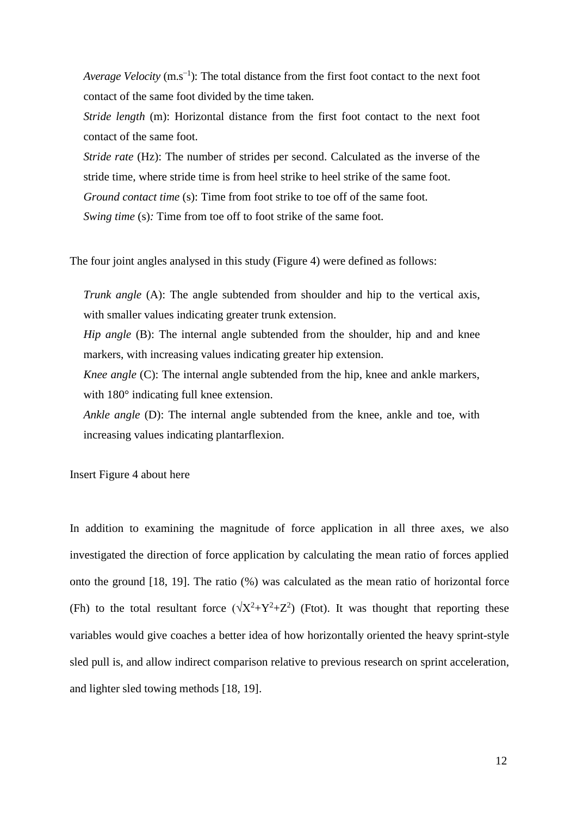*Average Velocity* (m.s<sup>-1</sup>): The total distance from the first foot contact to the next foot contact of the same foot divided by the time taken.

*Stride length* (m): Horizontal distance from the first foot contact to the next foot contact of the same foot.

*Stride rate* (Hz): The number of strides per second. Calculated as the inverse of the stride time, where stride time is from heel strike to heel strike of the same foot. *Ground contact time (s):* Time from foot strike to toe off of the same foot. *Swing time (s):* Time from toe off to foot strike of the same foot.

The four joint angles analysed in this study (Figure 4) were defined as follows:

*Trunk angle* (A): The angle subtended from shoulder and hip to the vertical axis, with smaller values indicating greater trunk extension.

*Hip angle* (B): The internal angle subtended from the shoulder, hip and and knee markers, with increasing values indicating greater hip extension.

*Knee angle* (C): The internal angle subtended from the hip, knee and ankle markers, with 180° indicating full knee extension.

*Ankle angle* (D): The internal angle subtended from the knee, ankle and toe, with increasing values indicating plantarflexion.

Insert Figure 4 about here

In addition to examining the magnitude of force application in all three axes, we also investigated the direction of force application by calculating the mean ratio of forces applied onto the ground [18, 19]. The ratio (%) was calculated as the mean ratio of horizontal force (Fh) to the total resultant force  $(\sqrt{X^2+Y^2+Z^2})$  (Ftot). It was thought that reporting these variables would give coaches a better idea of how horizontally oriented the heavy sprint-style sled pull is, and allow indirect comparison relative to previous research on sprint acceleration, and lighter sled towing methods [18, 19].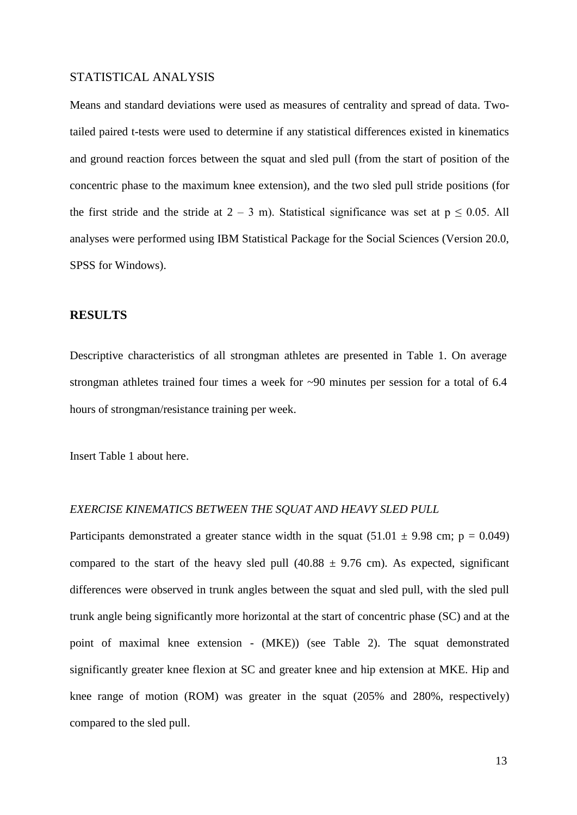## STATISTICAL ANALYSIS

Means and standard deviations were used as measures of centrality and spread of data. Twotailed paired t-tests were used to determine if any statistical differences existed in kinematics and ground reaction forces between the squat and sled pull (from the start of position of the concentric phase to the maximum knee extension), and the two sled pull stride positions (for the first stride and the stride at  $2 - 3$  m). Statistical significance was set at  $p \le 0.05$ . All analyses were performed using IBM Statistical Package for the Social Sciences (Version 20.0, SPSS for Windows).

## **RESULTS**

Descriptive characteristics of all strongman athletes are presented in Table 1. On average strongman athletes trained four times a week for ~90 minutes per session for a total of 6.4 hours of strongman/resistance training per week.

Insert Table 1 about here.

#### *EXERCISE KINEMATICS BETWEEN THE SQUAT AND HEAVY SLED PULL*

Participants demonstrated a greater stance width in the squat  $(51.01 \pm 9.98 \text{ cm}; \text{p} = 0.049)$ compared to the start of the heavy sled pull  $(40.88 \pm 9.76 \text{ cm})$ . As expected, significant differences were observed in trunk angles between the squat and sled pull, with the sled pull trunk angle being significantly more horizontal at the start of concentric phase (SC) and at the point of maximal knee extension - (MKE)) (see Table 2). The squat demonstrated significantly greater knee flexion at SC and greater knee and hip extension at MKE. Hip and knee range of motion (ROM) was greater in the squat (205% and 280%, respectively) compared to the sled pull.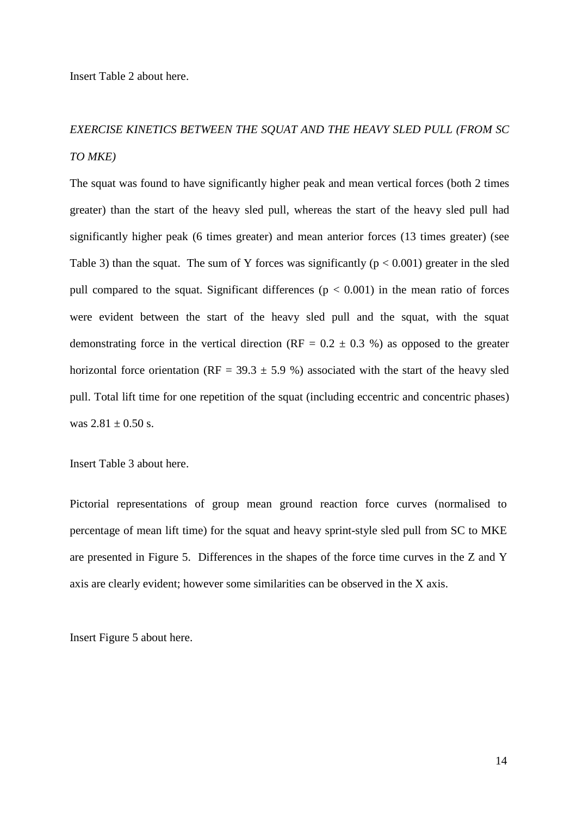Insert Table 2 about here.

# *EXERCISE KINETICS BETWEEN THE SQUAT AND THE HEAVY SLED PULL (FROM SC TO MKE)*

The squat was found to have significantly higher peak and mean vertical forces (both 2 times greater) than the start of the heavy sled pull, whereas the start of the heavy sled pull had significantly higher peak (6 times greater) and mean anterior forces (13 times greater) (see Table 3) than the squat. The sum of Y forces was significantly ( $p < 0.001$ ) greater in the sled pull compared to the squat. Significant differences ( $p < 0.001$ ) in the mean ratio of forces were evident between the start of the heavy sled pull and the squat, with the squat demonstrating force in the vertical direction ( $RF = 0.2 \pm 0.3$  %) as opposed to the greater horizontal force orientation (RF =  $39.3 \pm 5.9$  %) associated with the start of the heavy sled pull. Total lift time for one repetition of the squat (including eccentric and concentric phases) was  $2.81 \pm 0.50$  s.

Insert Table 3 about here.

Pictorial representations of group mean ground reaction force curves (normalised to percentage of mean lift time) for the squat and heavy sprint-style sled pull from SC to MKE are presented in Figure 5. Differences in the shapes of the force time curves in the Z and Y axis are clearly evident; however some similarities can be observed in the X axis.

Insert Figure 5 about here.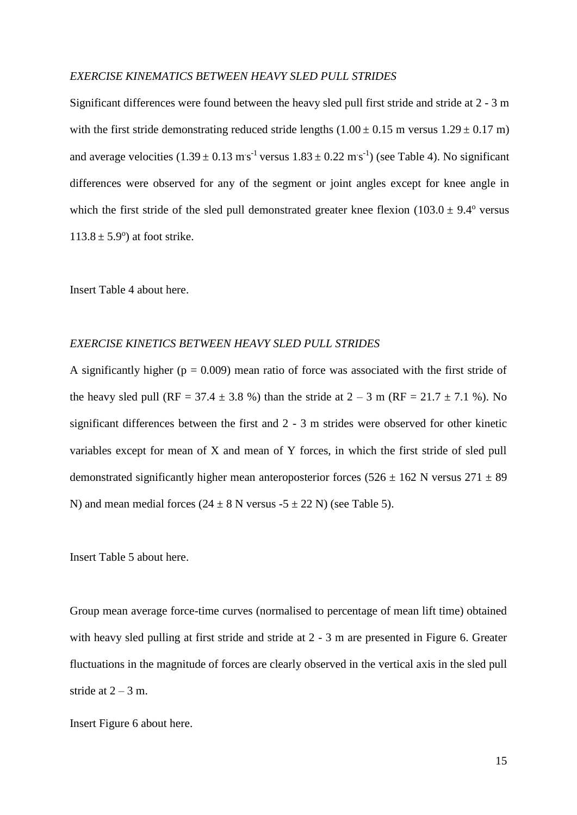#### *EXERCISE KINEMATICS BETWEEN HEAVY SLED PULL STRIDES*

Significant differences were found between the heavy sled pull first stride and stride at 2 - 3 m with the first stride demonstrating reduced stride lengths  $(1.00 \pm 0.15 \text{ m} \text{ versus } 1.29 \pm 0.17 \text{ m})$ and average velocities  $(1.39 \pm 0.13 \text{ m s}^{-1} \text{ versus } 1.83 \pm 0.22 \text{ m s}^{-1})$  (see Table 4). No significant differences were observed for any of the segment or joint angles except for knee angle in which the first stride of the sled pull demonstrated greater knee flexion  $(103.0 \pm 9.4^{\circ}$  versus  $113.8 \pm 5.9^{\circ}$  at foot strike.

Insert Table 4 about here.

### *EXERCISE KINETICS BETWEEN HEAVY SLED PULL STRIDES*

A significantly higher ( $p = 0.009$ ) mean ratio of force was associated with the first stride of the heavy sled pull (RF = 37.4  $\pm$  3.8 %) than the stride at 2 – 3 m (RF = 21.7  $\pm$  7.1 %). No significant differences between the first and 2 - 3 m strides were observed for other kinetic variables except for mean of X and mean of Y forces, in which the first stride of sled pull demonstrated significantly higher mean anteroposterior forces ( $526 \pm 162$  N versus  $271 \pm 89$ ) N) and mean medial forces  $(24 \pm 8 \text{ N} \text{ versus } -5 \pm 22 \text{ N})$  (see Table 5).

Insert Table 5 about here.

Group mean average force-time curves (normalised to percentage of mean lift time) obtained with heavy sled pulling at first stride and stride at 2 - 3 m are presented in Figure 6. Greater fluctuations in the magnitude of forces are clearly observed in the vertical axis in the sled pull stride at  $2 - 3$  m.

Insert Figure 6 about here.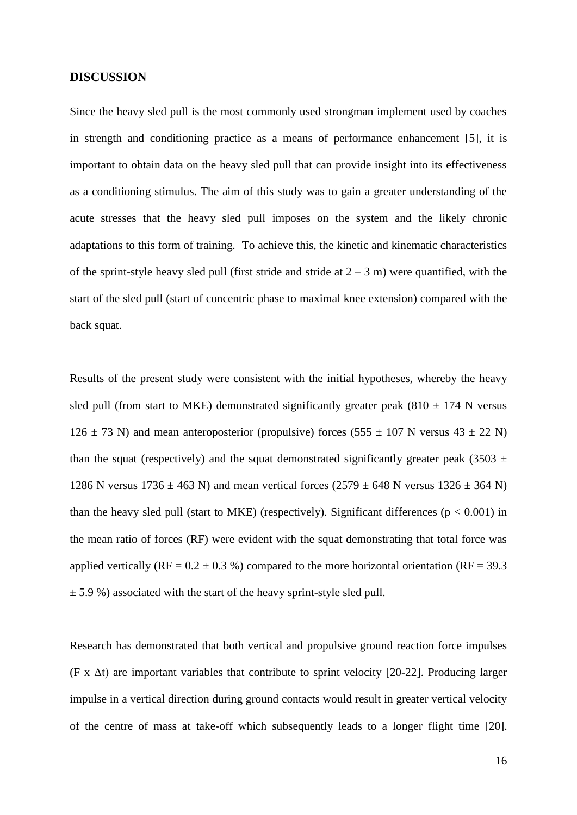### **DISCUSSION**

Since the heavy sled pull is the most commonly used strongman implement used by coaches in strength and conditioning practice as a means of performance enhancement [5], it is important to obtain data on the heavy sled pull that can provide insight into its effectiveness as a conditioning stimulus. The aim of this study was to gain a greater understanding of the acute stresses that the heavy sled pull imposes on the system and the likely chronic adaptations to this form of training. To achieve this, the kinetic and kinematic characteristics of the sprint-style heavy sled pull (first stride and stride at  $2 - 3$  m) were quantified, with the start of the sled pull (start of concentric phase to maximal knee extension) compared with the back squat.

Results of the present study were consistent with the initial hypotheses, whereby the heavy sled pull (from start to MKE) demonstrated significantly greater peak (810  $\pm$  174 N versus  $126 \pm 73$  N) and mean anteroposterior (propulsive) forces (555  $\pm$  107 N versus 43  $\pm$  22 N) than the squat (respectively) and the squat demonstrated significantly greater peak (3503  $\pm$ 1286 N versus  $1736 \pm 463$  N) and mean vertical forces  $(2579 \pm 648$  N versus  $1326 \pm 364$  N) than the heavy sled pull (start to MKE) (respectively). Significant differences ( $p < 0.001$ ) in the mean ratio of forces (RF) were evident with the squat demonstrating that total force was applied vertically (RF =  $0.2 \pm 0.3$  %) compared to the more horizontal orientation (RF = 39.3  $\pm$  5.9 %) associated with the start of the heavy sprint-style sled pull.

Research has demonstrated that both vertical and propulsive ground reaction force impulses (F x  $\Delta t$ ) are important variables that contribute to sprint velocity [20-22]. Producing larger impulse in a vertical direction during ground contacts would result in greater vertical velocity of the centre of mass at take-off which subsequently leads to a longer flight time [20].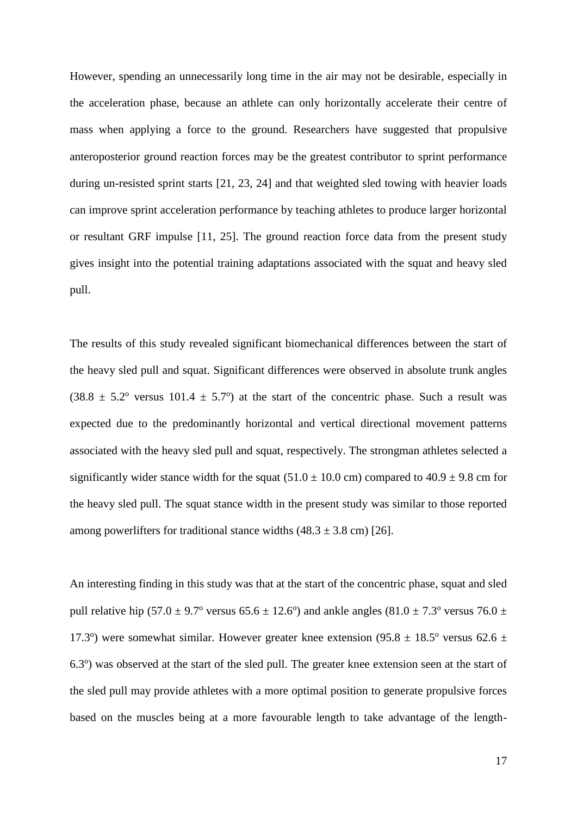However, spending an unnecessarily long time in the air may not be desirable, especially in the acceleration phase, because an athlete can only horizontally accelerate their centre of mass when applying a force to the ground. Researchers have suggested that propulsive anteroposterior ground reaction forces may be the greatest contributor to sprint performance during un-resisted sprint starts [21, 23, 24] and that weighted sled towing with heavier loads can improve sprint acceleration performance by teaching athletes to produce larger horizontal or resultant GRF impulse [11, 25]. The ground reaction force data from the present study gives insight into the potential training adaptations associated with the squat and heavy sled pull.

The results of this study revealed significant biomechanical differences between the start of the heavy sled pull and squat. Significant differences were observed in absolute trunk angles  $(38.8 \pm 5.2^{\circ}$  versus 101.4  $\pm 5.7^{\circ}$ ) at the start of the concentric phase. Such a result was expected due to the predominantly horizontal and vertical directional movement patterns associated with the heavy sled pull and squat, respectively. The strongman athletes selected a significantly wider stance width for the squat  $(51.0 \pm 10.0 \text{ cm})$  compared to  $40.9 \pm 9.8 \text{ cm}$  for the heavy sled pull. The squat stance width in the present study was similar to those reported among powerlifters for traditional stance widths  $(48.3 \pm 3.8 \text{ cm})$  [26].

An interesting finding in this study was that at the start of the concentric phase, squat and sled pull relative hip (57.0  $\pm$  9.7° versus 65.6  $\pm$  12.6°) and ankle angles (81.0  $\pm$  7.3° versus 76.0  $\pm$ 17.3°) were somewhat similar. However greater knee extension (95.8  $\pm$  18.5° versus 62.6  $\pm$ 6.3°) was observed at the start of the sled pull. The greater knee extension seen at the start of the sled pull may provide athletes with a more optimal position to generate propulsive forces based on the muscles being at a more favourable length to take advantage of the length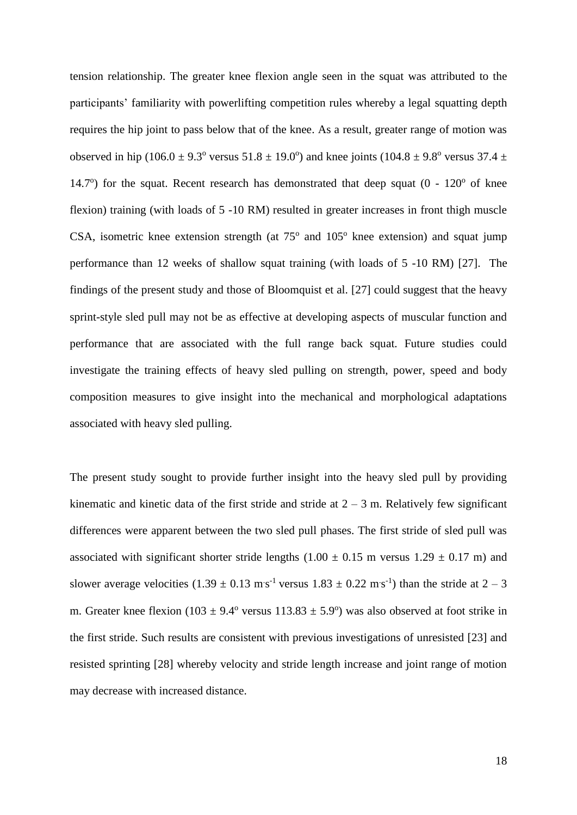tension relationship. The greater knee flexion angle seen in the squat was attributed to the participants' familiarity with powerlifting competition rules whereby a legal squatting depth requires the hip joint to pass below that of the knee. As a result, greater range of motion was observed in hip (106.0  $\pm$  9.3° versus 51.8  $\pm$  19.0°) and knee joints (104.8  $\pm$  9.8° versus 37.4  $\pm$ 14.7°) for the squat. Recent research has demonstrated that deep squat  $(0 - 120^{\circ} \text{ of } k$ nee flexion) training (with loads of 5 -10 RM) resulted in greater increases in front thigh muscle CSA, isometric knee extension strength (at  $75^{\circ}$  and  $105^{\circ}$  knee extension) and squat jump performance than 12 weeks of shallow squat training (with loads of 5 -10 RM) [27]. The findings of the present study and those of Bloomquist et al. [27] could suggest that the heavy sprint-style sled pull may not be as effective at developing aspects of muscular function and performance that are associated with the full range back squat. Future studies could investigate the training effects of heavy sled pulling on strength, power, speed and body composition measures to give insight into the mechanical and morphological adaptations associated with heavy sled pulling.

The present study sought to provide further insight into the heavy sled pull by providing kinematic and kinetic data of the first stride and stride at  $2 - 3$  m. Relatively few significant differences were apparent between the two sled pull phases. The first stride of sled pull was associated with significant shorter stride lengths  $(1.00 \pm 0.15 \text{ m}$  versus  $1.29 \pm 0.17 \text{ m})$  and slower average velocities  $(1.39 \pm 0.13 \text{ m s}^{-1} \text{ versus } 1.83 \pm 0.22 \text{ m s}^{-1})$  than the stride at  $2 - 3$ m. Greater knee flexion (103  $\pm$  9.4° versus 113.83  $\pm$  5.9°) was also observed at foot strike in the first stride. Such results are consistent with previous investigations of unresisted [23] and resisted sprinting [28] whereby velocity and stride length increase and joint range of motion may decrease with increased distance.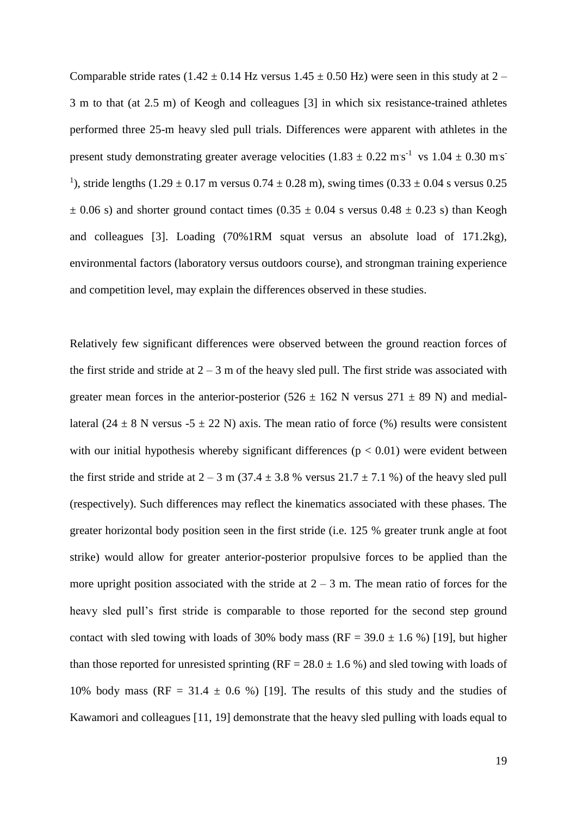Comparable stride rates (1.42  $\pm$  0.14 Hz versus 1.45  $\pm$  0.50 Hz) were seen in this study at 2 – 3 m to that (at 2.5 m) of Keogh and colleagues [3] in which six resistance-trained athletes performed three 25-m heavy sled pull trials. Differences were apparent with athletes in the present study demonstrating greater average velocities  $(1.83 \pm 0.22 \text{ m/s}^{-1} \text{ vs } 1.04 \pm 0.30 \text{ m/s}^{-1})$ <sup>1</sup>), stride lengths  $(1.29 \pm 0.17 \text{ m}$  versus  $0.74 \pm 0.28 \text{ m}$ ), swing times  $(0.33 \pm 0.04 \text{ s}$  versus  $0.25 \text{ m}$  $\pm$  0.06 s) and shorter ground contact times (0.35  $\pm$  0.04 s versus 0.48  $\pm$  0.23 s) than Keogh and colleagues [3]. Loading (70%1RM squat versus an absolute load of 171.2kg), environmental factors (laboratory versus outdoors course), and strongman training experience and competition level, may explain the differences observed in these studies.

Relatively few significant differences were observed between the ground reaction forces of the first stride and stride at  $2 - 3$  m of the heavy sled pull. The first stride was associated with greater mean forces in the anterior-posterior (526  $\pm$  162 N versus 271  $\pm$  89 N) and mediallateral (24  $\pm$  8 N versus -5  $\pm$  22 N) axis. The mean ratio of force (%) results were consistent with our initial hypothesis whereby significant differences ( $p < 0.01$ ) were evident between the first stride and stride at  $2 - 3$  m (37.4  $\pm$  3.8 % versus 21.7  $\pm$  7.1 %) of the heavy sled pull (respectively). Such differences may reflect the kinematics associated with these phases. The greater horizontal body position seen in the first stride (i.e. 125 % greater trunk angle at foot strike) would allow for greater anterior-posterior propulsive forces to be applied than the more upright position associated with the stride at  $2 - 3$  m. The mean ratio of forces for the heavy sled pull's first stride is comparable to those reported for the second step ground contact with sled towing with loads of 30% body mass (RF =  $39.0 \pm 1.6$  %) [19], but higher than those reported for unresisted sprinting (RF =  $28.0 \pm 1.6$ %) and sled towing with loads of 10% body mass (RF = 31.4  $\pm$  0.6 %) [19]. The results of this study and the studies of Kawamori and colleagues [11, 19] demonstrate that the heavy sled pulling with loads equal to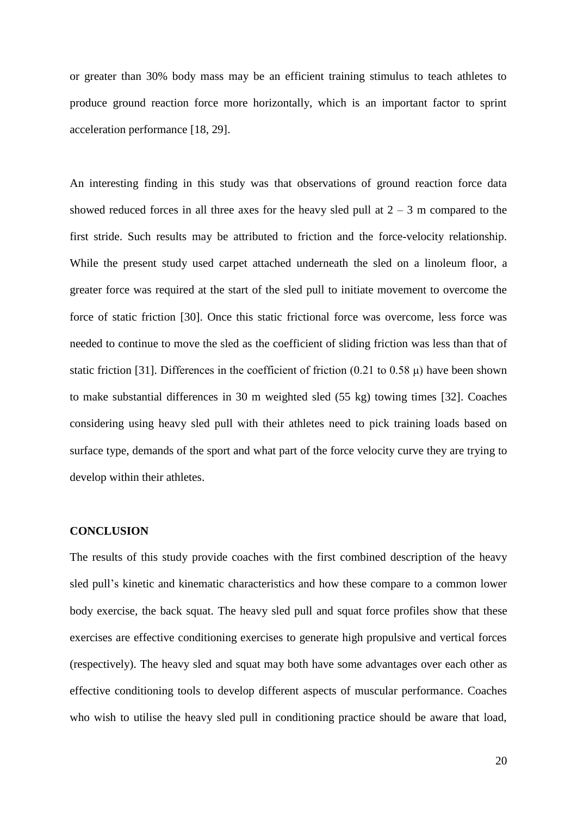or greater than 30% body mass may be an efficient training stimulus to teach athletes to produce ground reaction force more horizontally, which is an important factor to sprint acceleration performance [18, 29].

An interesting finding in this study was that observations of ground reaction force data showed reduced forces in all three axes for the heavy sled pull at  $2 - 3$  m compared to the first stride. Such results may be attributed to friction and the force-velocity relationship. While the present study used carpet attached underneath the sled on a linoleum floor, a greater force was required at the start of the sled pull to initiate movement to overcome the force of static friction [30]. Once this static frictional force was overcome, less force was needed to continue to move the sled as the coefficient of sliding friction was less than that of static friction [31]. Differences in the coefficient of friction  $(0.21 \text{ to } 0.58 \mu)$  have been shown to make substantial differences in 30 m weighted sled (55 kg) towing times [32]. Coaches considering using heavy sled pull with their athletes need to pick training loads based on surface type, demands of the sport and what part of the force velocity curve they are trying to develop within their athletes.

#### **CONCLUSION**

The results of this study provide coaches with the first combined description of the heavy sled pull's kinetic and kinematic characteristics and how these compare to a common lower body exercise, the back squat. The heavy sled pull and squat force profiles show that these exercises are effective conditioning exercises to generate high propulsive and vertical forces (respectively). The heavy sled and squat may both have some advantages over each other as effective conditioning tools to develop different aspects of muscular performance. Coaches who wish to utilise the heavy sled pull in conditioning practice should be aware that load,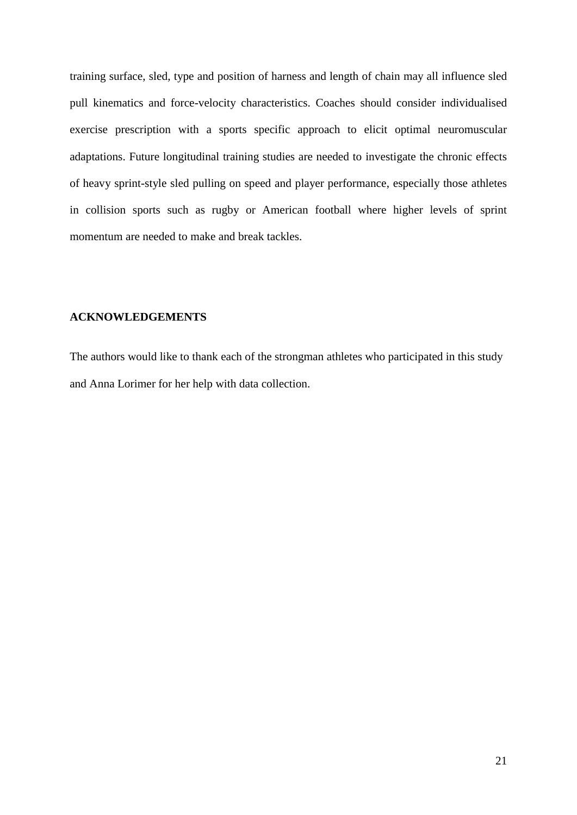training surface, sled, type and position of harness and length of chain may all influence sled pull kinematics and force-velocity characteristics. Coaches should consider individualised exercise prescription with a sports specific approach to elicit optimal neuromuscular adaptations. Future longitudinal training studies are needed to investigate the chronic effects of heavy sprint-style sled pulling on speed and player performance, especially those athletes in collision sports such as rugby or American football where higher levels of sprint momentum are needed to make and break tackles.

## **ACKNOWLEDGEMENTS**

The authors would like to thank each of the strongman athletes who participated in this study and Anna Lorimer for her help with data collection.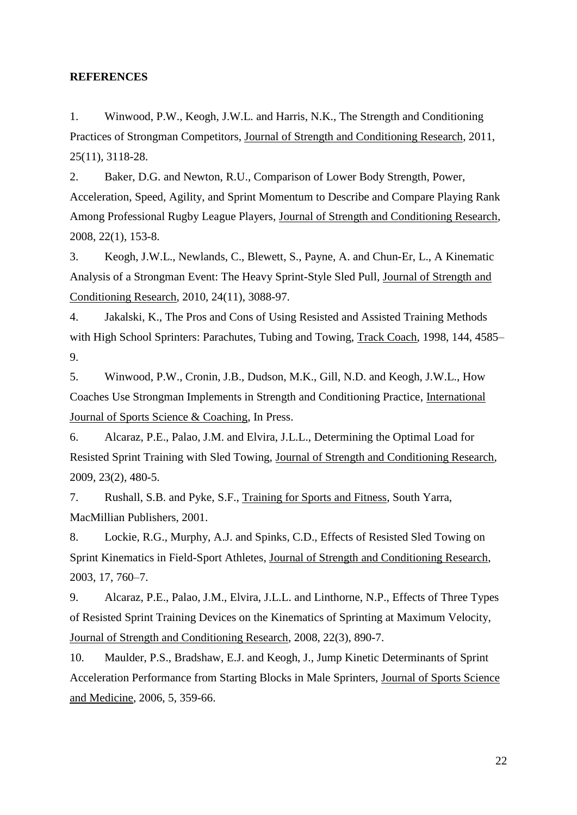### **REFERENCES**

1. Winwood, P.W., Keogh, J.W.L. and Harris, N.K., The Strength and Conditioning Practices of Strongman Competitors, Journal of Strength and Conditioning Research, 2011, 25(11), 3118-28.

2. Baker, D.G. and Newton, R.U., Comparison of Lower Body Strength, Power, Acceleration, Speed, Agility, and Sprint Momentum to Describe and Compare Playing Rank Among Professional Rugby League Players, Journal of Strength and Conditioning Research, 2008, 22(1), 153-8.

3. Keogh, J.W.L., Newlands, C., Blewett, S., Payne, A. and Chun-Er, L., A Kinematic Analysis of a Strongman Event: The Heavy Sprint-Style Sled Pull, Journal of Strength and Conditioning Research, 2010, 24(11), 3088-97.

4. Jakalski, K., The Pros and Cons of Using Resisted and Assisted Training Methods with High School Sprinters: Parachutes, Tubing and Towing, Track Coach, 1998, 144, 4585– 9.

5. Winwood, P.W., Cronin, J.B., Dudson, M.K., Gill, N.D. and Keogh, J.W.L., How Coaches Use Strongman Implements in Strength and Conditioning Practice, International Journal of Sports Science & Coaching, In Press.

6. Alcaraz, P.E., Palao, J.M. and Elvira, J.L.L., Determining the Optimal Load for Resisted Sprint Training with Sled Towing, Journal of Strength and Conditioning Research, 2009, 23(2), 480-5.

7. Rushall, S.B. and Pyke, S.F., Training for Sports and Fitness, South Yarra, MacMillian Publishers, 2001.

8. Lockie, R.G., Murphy, A.J. and Spinks, C.D., Effects of Resisted Sled Towing on Sprint Kinematics in Field-Sport Athletes, Journal of Strength and Conditioning Research, 2003, 17, 760–7.

9. Alcaraz, P.E., Palao, J.M., Elvira, J.L.L. and Linthorne, N.P., Effects of Three Types of Resisted Sprint Training Devices on the Kinematics of Sprinting at Maximum Velocity, Journal of Strength and Conditioning Research, 2008, 22(3), 890-7.

10. Maulder, P.S., Bradshaw, E.J. and Keogh, J., Jump Kinetic Determinants of Sprint Acceleration Performance from Starting Blocks in Male Sprinters, Journal of Sports Science and Medicine, 2006, 5, 359-66.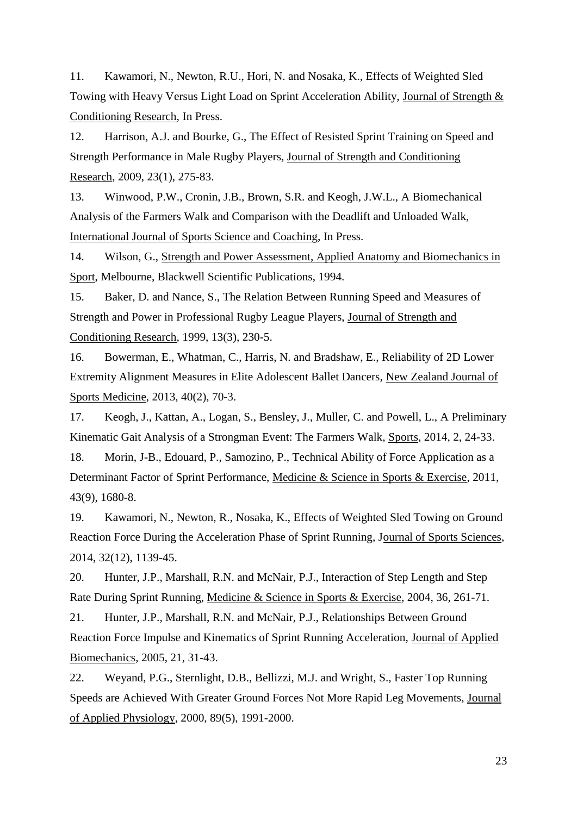11. Kawamori, N., Newton, R.U., Hori, N. and Nosaka, K., Effects of Weighted Sled Towing with Heavy Versus Light Load on Sprint Acceleration Ability, Journal of Strength & Conditioning Research, In Press.

12. Harrison, A.J. and Bourke, G., The Effect of Resisted Sprint Training on Speed and Strength Performance in Male Rugby Players, Journal of Strength and Conditioning Research, 2009, 23(1), 275-83.

13. Winwood, P.W., Cronin, J.B., Brown, S.R. and Keogh, J.W.L., A Biomechanical Analysis of the Farmers Walk and Comparison with the Deadlift and Unloaded Walk, International Journal of Sports Science and Coaching, In Press.

14. Wilson, G., Strength and Power Assessment, Applied Anatomy and Biomechanics in Sport, Melbourne, Blackwell Scientific Publications, 1994.

15. Baker, D. and Nance, S., The Relation Between Running Speed and Measures of Strength and Power in Professional Rugby League Players, Journal of Strength and Conditioning Research, 1999, 13(3), 230-5.

16. Bowerman, E., Whatman, C., Harris, N. and Bradshaw, E., Reliability of 2D Lower Extremity Alignment Measures in Elite Adolescent Ballet Dancers, New Zealand Journal of Sports Medicine, 2013, 40(2), 70-3.

17. Keogh, J., Kattan, A., Logan, S., Bensley, J., Muller, C. and Powell, L., A Preliminary Kinematic Gait Analysis of a Strongman Event: The Farmers Walk, Sports, 2014, 2, 24-33.

18. Morin, J-B., Edouard, P., Samozino, P., Technical Ability of Force Application as a Determinant Factor of Sprint Performance, Medicine & Science in Sports & Exercise, 2011, 43(9), 1680-8.

19. Kawamori, N., Newton, R., Nosaka, K., Effects of Weighted Sled Towing on Ground Reaction Force During the Acceleration Phase of Sprint Running, Journal of Sports Sciences, 2014, 32(12), 1139-45.

20. Hunter, J.P., Marshall, R.N. and McNair, P.J., Interaction of Step Length and Step Rate During Sprint Running, Medicine & Science in Sports & Exercise, 2004, 36, 261-71.

21. Hunter, J.P., Marshall, R.N. and McNair, P.J., Relationships Between Ground Reaction Force Impulse and Kinematics of Sprint Running Acceleration, Journal of Applied Biomechanics, 2005, 21, 31-43.

22. Weyand, P.G., Sternlight, D.B., Bellizzi, M.J. and Wright, S., Faster Top Running Speeds are Achieved With Greater Ground Forces Not More Rapid Leg Movements, Journal of Applied Physiology, 2000, 89(5), 1991-2000.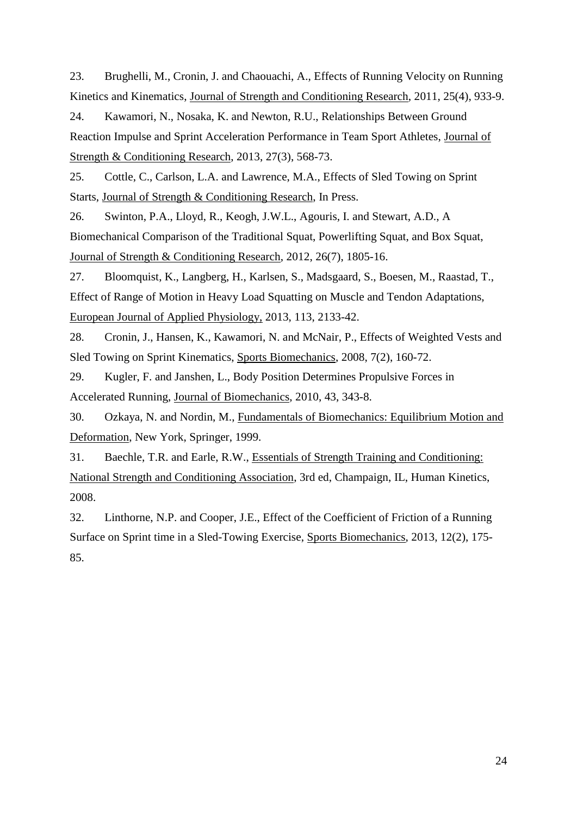23. Brughelli, M., Cronin, J. and Chaouachi, A., Effects of Running Velocity on Running Kinetics and Kinematics, Journal of Strength and Conditioning Research, 2011, 25(4), 933-9.

24. Kawamori, N., Nosaka, K. and Newton, R.U., Relationships Between Ground Reaction Impulse and Sprint Acceleration Performance in Team Sport Athletes, Journal of Strength & Conditioning Research, 2013, 27(3), 568-73.

25. Cottle, C., Carlson, L.A. and Lawrence, M.A., Effects of Sled Towing on Sprint Starts, Journal of Strength & Conditioning Research, In Press.

26. Swinton, P.A., Lloyd, R., Keogh, J.W.L., Agouris, I. and Stewart, A.D., A Biomechanical Comparison of the Traditional Squat, Powerlifting Squat, and Box Squat, Journal of Strength & Conditioning Research, 2012, 26(7), 1805-16.

27. Bloomquist, K., Langberg, H., Karlsen, S., Madsgaard, S., Boesen, M., Raastad, T., Effect of Range of Motion in Heavy Load Squatting on Muscle and Tendon Adaptations, European Journal of Applied Physiology, 2013, 113, 2133-42.

28. Cronin, J., Hansen, K., Kawamori, N. and McNair, P., Effects of Weighted Vests and Sled Towing on Sprint Kinematics, Sports Biomechanics, 2008, 7(2), 160-72.

29. Kugler, F. and Janshen, L., Body Position Determines Propulsive Forces in Accelerated Running, Journal of Biomechanics, 2010, 43, 343-8.

30. Ozkaya, N. and Nordin, M., Fundamentals of Biomechanics: Equilibrium Motion and Deformation, New York, Springer, 1999.

31. Baechle, T.R. and Earle, R.W., Essentials of Strength Training and Conditioning: National Strength and Conditioning Association, 3rd ed, Champaign, IL, Human Kinetics, 2008.

32. Linthorne, N.P. and Cooper, J.E., Effect of the Coefficient of Friction of a Running Surface on Sprint time in a Sled-Towing Exercise, Sports Biomechanics, 2013, 12(2), 175- 85.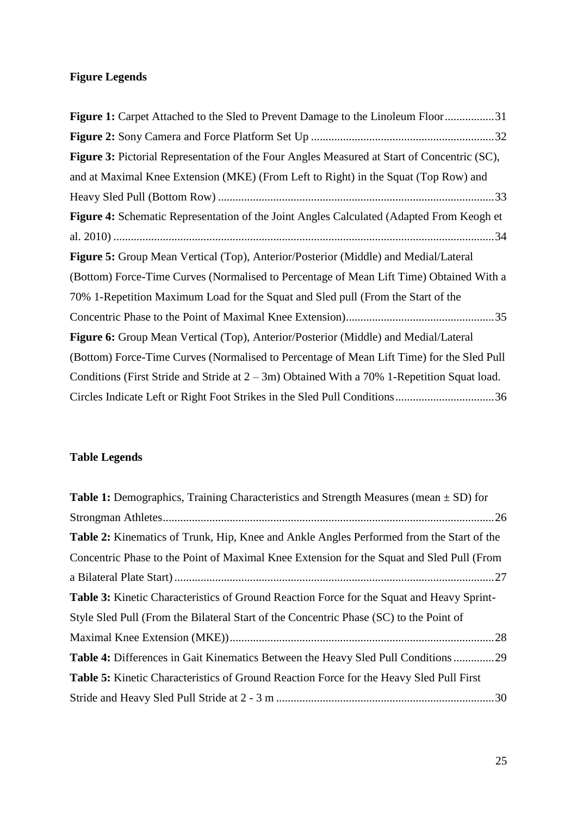# **Figure Legends**

| <b>Figure 1:</b> Carpet Attached to the Sled to Prevent Damage to the Linoleum Floor31          |
|-------------------------------------------------------------------------------------------------|
|                                                                                                 |
| Figure 3: Pictorial Representation of the Four Angles Measured at Start of Concentric (SC),     |
| and at Maximal Knee Extension (MKE) (From Left to Right) in the Squat (Top Row) and             |
|                                                                                                 |
| <b>Figure 4:</b> Schematic Representation of the Joint Angles Calculated (Adapted From Keogh et |
|                                                                                                 |
| <b>Figure 5:</b> Group Mean Vertical (Top), Anterior/Posterior (Middle) and Medial/Lateral      |
| (Bottom) Force-Time Curves (Normalised to Percentage of Mean Lift Time) Obtained With a         |
| 70% 1-Repetition Maximum Load for the Squat and Sled pull (From the Start of the                |
|                                                                                                 |
| <b>Figure 6:</b> Group Mean Vertical (Top), Anterior/Posterior (Middle) and Medial/Lateral      |
| (Bottom) Force-Time Curves (Normalised to Percentage of Mean Lift Time) for the Sled Pull       |
| Conditions (First Stride and Stride at $2 - 3m$ ) Obtained With a 70% 1-Repetition Squat load.  |
| Circles Indicate Left or Right Foot Strikes in the Sled Pull Conditions36                       |

# **Table Legends**

| <b>Table 1:</b> Demographics, Training Characteristics and Strength Measures (mean $\pm$ SD) for |
|--------------------------------------------------------------------------------------------------|
|                                                                                                  |
| <b>Table 2:</b> Kinematics of Trunk, Hip, Knee and Ankle Angles Performed from the Start of the  |
| Concentric Phase to the Point of Maximal Knee Extension for the Squat and Sled Pull (From        |
|                                                                                                  |
| Table 3: Kinetic Characteristics of Ground Reaction Force for the Squat and Heavy Sprint-        |
| Style Sled Pull (From the Bilateral Start of the Concentric Phase (SC) to the Point of           |
|                                                                                                  |
| <b>Table 4:</b> Differences in Gait Kinematics Between the Heavy Sled Pull Conditions29          |
| <b>Table 5:</b> Kinetic Characteristics of Ground Reaction Force for the Heavy Sled Pull First   |
|                                                                                                  |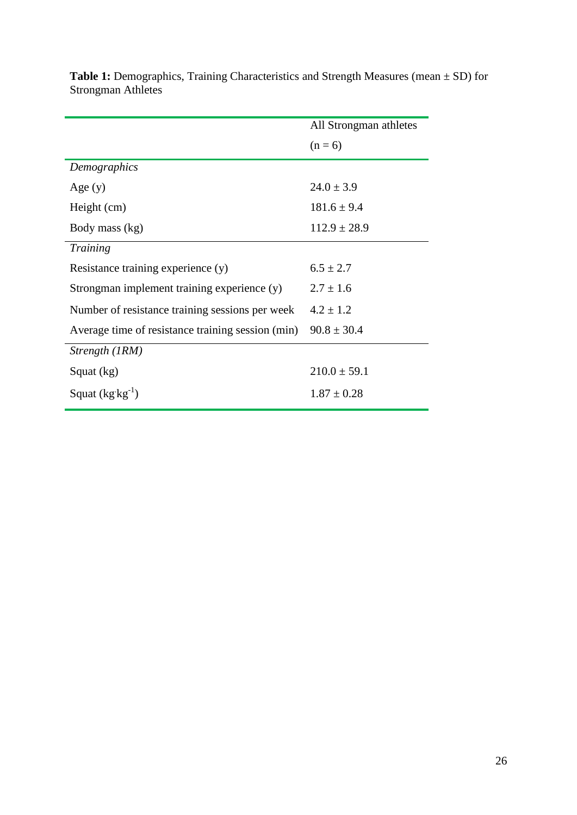|                                                   | All Strongman athletes |
|---------------------------------------------------|------------------------|
|                                                   | $(n = 6)$              |
| Demographics                                      |                        |
| Age $(y)$                                         | $24.0 \pm 3.9$         |
| Height (cm)                                       | $181.6 \pm 9.4$        |
| Body mass (kg)                                    | $112.9 \pm 28.9$       |
| Training                                          |                        |
| Resistance training experience (y)                | $6.5 \pm 2.7$          |
| Strongman implement training experience (y)       | $2.7 \pm 1.6$          |
| Number of resistance training sessions per week   | $4.2 \pm 1.2$          |
| Average time of resistance training session (min) | $90.8 \pm 30.4$        |
| Strength (IRM)                                    |                        |
| Squat (kg)                                        | $210.0 \pm 59.1$       |
| Squat $(kg kg^{-1})$                              | $1.87 \pm 0.28$        |

<span id="page-26-0"></span>**Table 1:** Demographics, Training Characteristics and Strength Measures (mean ± SD) for Strongman Athletes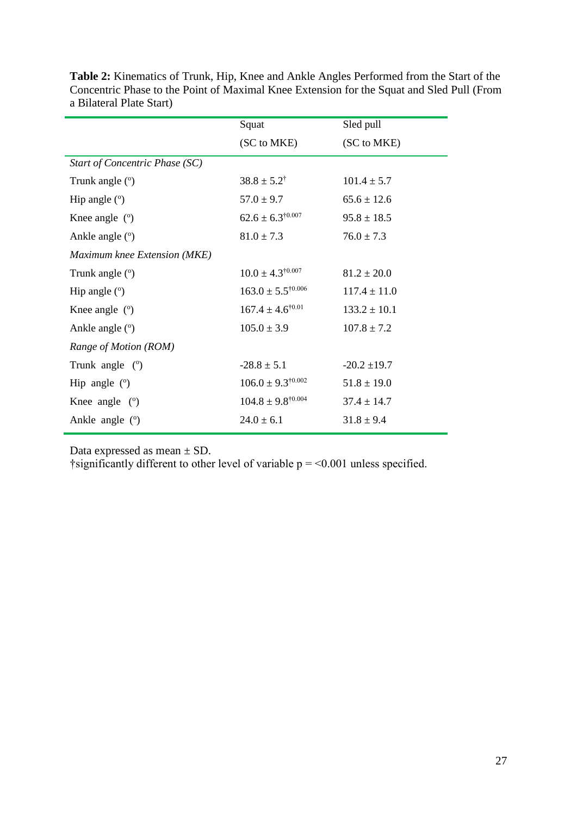|                                | Squat                          | Sled pull        |  |
|--------------------------------|--------------------------------|------------------|--|
|                                | (SC to MKE)                    | (SC to MKE)      |  |
| Start of Concentric Phase (SC) |                                |                  |  |
| Trunk angle $(°)$              | $38.8 \pm 5.2^{\dagger}$       | $101.4 \pm 5.7$  |  |
| Hip angle $(°)$                | $57.0 \pm 9.7$                 | $65.6 \pm 12.6$  |  |
| Knee angle $(°)$               | $62.6 \pm 6.3^{\dagger0.007}$  | $95.8 \pm 18.5$  |  |
| Ankle angle (°)                | $81.0 \pm 7.3$                 | $76.0 \pm 7.3$   |  |
| Maximum knee Extension (MKE)   |                                |                  |  |
| Trunk angle (°)                | $10.0 \pm 4.3^{\dagger0.007}$  | $81.2 \pm 20.0$  |  |
| Hip angle $(°)$                | $163.0 \pm 5.5^{\dagger0.006}$ | $117.4 \pm 11.0$ |  |
| Knee angle $(°)$               | $167.4 \pm 4.6^{\dagger0.01}$  | $133.2 \pm 10.1$ |  |
| Ankle angle (°)                | $105.0 \pm 3.9$                | $107.8 \pm 7.2$  |  |
| Range of Motion (ROM)          |                                |                  |  |
| Trunk angle $(°)$              | $-28.8 \pm 5.1$                | $-20.2 \pm 19.7$ |  |
| Hip angle $(°)$                | $106.0 \pm 9.3^{\dagger0.002}$ | $51.8 \pm 19.0$  |  |
| Knee angle $(°)$               | $104.8 \pm 9.8^{\dagger0.004}$ | $37.4 \pm 14.7$  |  |
| Ankle angle $(°)$              | $24.0 \pm 6.1$                 | $31.8 \pm 9.4$   |  |

<span id="page-27-0"></span>**Table 2:** Kinematics of Trunk, Hip, Knee and Ankle Angles Performed from the Start of the Concentric Phase to the Point of Maximal Knee Extension for the Squat and Sled Pull (From a Bilateral Plate Start)

Data expressed as mean  $\pm$  SD.

†significantly different to other level of variable  $p = 0.001$  unless specified.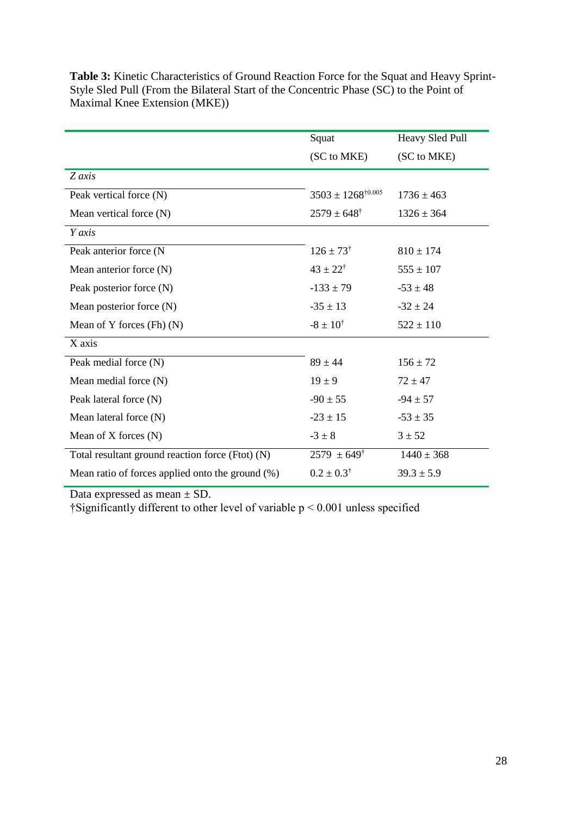|                                                  | Squat                          | Heavy Sled Pull |
|--------------------------------------------------|--------------------------------|-----------------|
|                                                  | (SC to MKE)                    | (SC to MKE)     |
| Z axis                                           |                                |                 |
| Peak vertical force (N)                          | $3503 \pm 1268^{\dagger0.005}$ | $1736 \pm 463$  |
| Mean vertical force (N)                          | $2579 \pm 648^{\dagger}$       | $1326 \pm 364$  |
| Y axis                                           |                                |                 |
| Peak anterior force (N                           | $126 \pm 73^{\dagger}$         | $810 \pm 174$   |
| Mean anterior force (N)                          | $43 \pm 22^{\dagger}$          | $555 \pm 107$   |
| Peak posterior force (N)                         | $-133 \pm 79$                  | $-53 \pm 48$    |
| Mean posterior force (N)                         | $-35 \pm 13$                   | $-32 \pm 24$    |
| Mean of Y forces $(Fh)$ $(N)$                    | $-8 \pm 10^{4}$                | $522 \pm 110$   |
| X axis                                           |                                |                 |
| Peak medial force (N)                            | $89 \pm 44$                    | $156 \pm 72$    |
| Mean medial force (N)                            | $19 \pm 9$                     | $72 \pm 47$     |
| Peak lateral force (N)                           | $-90 \pm 55$                   | $-94 \pm 57$    |
| Mean lateral force (N)                           | $-23 \pm 15$                   | $-53 \pm 35$    |
| Mean of $X$ forces $(N)$                         | $-3 \pm 8$                     | $3 \pm 52$      |
| Total resultant ground reaction force (Ftot) (N) | $2579 \pm 649^{\dagger}$       | $1440 \pm 368$  |
| Mean ratio of forces applied onto the ground (%) | $0.2 \pm 0.3^{\dagger}$        | $39.3 \pm 5.9$  |

<span id="page-28-0"></span>**Table 3:** Kinetic Characteristics of Ground Reaction Force for the Squat and Heavy Sprint-Style Sled Pull (From the Bilateral Start of the Concentric Phase (SC) to the Point of Maximal Knee Extension (MKE))

Data expressed as mean  $\pm$  SD.

†Significantly different to other level of variable p < 0.001 unless specified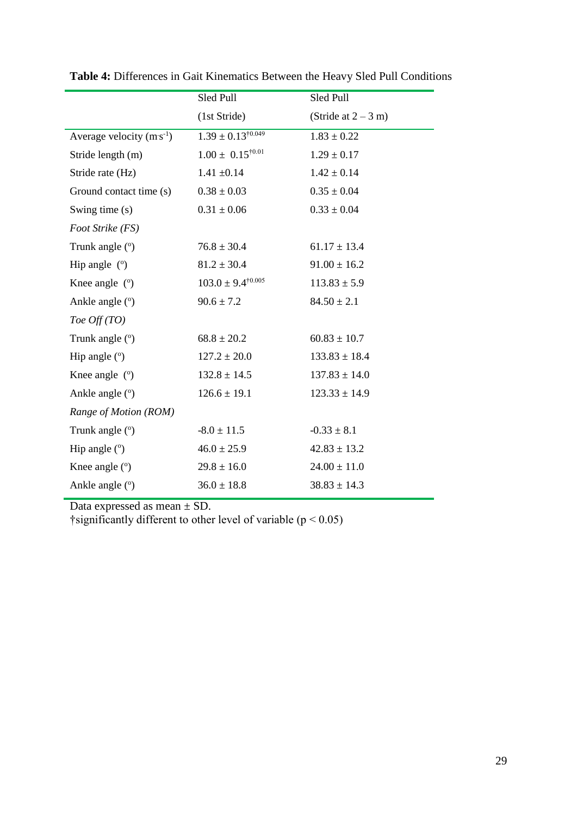|                               | Sled Pull                      | Sled Pull             |
|-------------------------------|--------------------------------|-----------------------|
|                               | (1st Stride)                   | (Stride at $2 - 3$ m) |
| Average velocity $(m s^{-1})$ | $1.39 \pm 0.13^{\dagger0.049}$ | $1.83 \pm 0.22$       |
| Stride length (m)             | $1.00 \pm 0.15^{\dagger0.01}$  | $1.29 \pm 0.17$       |
| Stride rate (Hz)              | $1.41 \pm 0.14$                | $1.42 \pm 0.14$       |
| Ground contact time (s)       | $0.38 \pm 0.03$                | $0.35 \pm 0.04$       |
| Swing time (s)                | $0.31 \pm 0.06$                | $0.33 \pm 0.04$       |
| Foot Strike (FS)              |                                |                       |
| Trunk angle $(°)$             | $76.8 \pm 30.4$                | $61.17 \pm 13.4$      |
| Hip angle $(°)$               | $81.2 \pm 30.4$                | $91.00 \pm 16.2$      |
| Knee angle $(°)$              | $103.0 \pm 9.4^{\dagger0.005}$ | $113.83 \pm 5.9$      |
| Ankle angle (°)               | $90.6 \pm 7.2$                 | $84.50 \pm 2.1$       |
| Toe $Off(TO)$                 |                                |                       |
| Trunk angle (°)               | $68.8 \pm 20.2$                | $60.83 \pm 10.7$      |
| Hip angle $(°)$               | $127.2 \pm 20.0$               | $133.83 \pm 18.4$     |
| Knee angle $(°)$              | $132.8 \pm 14.5$               | $137.83 \pm 14.0$     |
| Ankle angle (°)               | $126.6 \pm 19.1$               | $123.33 \pm 14.9$     |
| Range of Motion (ROM)         |                                |                       |
| Trunk angle (°)               | $-8.0 \pm 11.5$                | $-0.33 \pm 8.1$       |
| Hip angle $(°)$               | $46.0 \pm 25.9$                | $42.83 \pm 13.2$      |
| Knee angle $(°)$              | $29.8 \pm 16.0$                | $24.00 \pm 11.0$      |
| Ankle angle (°)               | $36.0 \pm 18.8$                | $38.83 \pm 14.3$      |

<span id="page-29-0"></span>**Table 4:** Differences in Gait Kinematics Between the Heavy Sled Pull Conditions

Data expressed as mean  $\pm$  SD.

†significantly different to other level of variable ( $p < 0.05$ )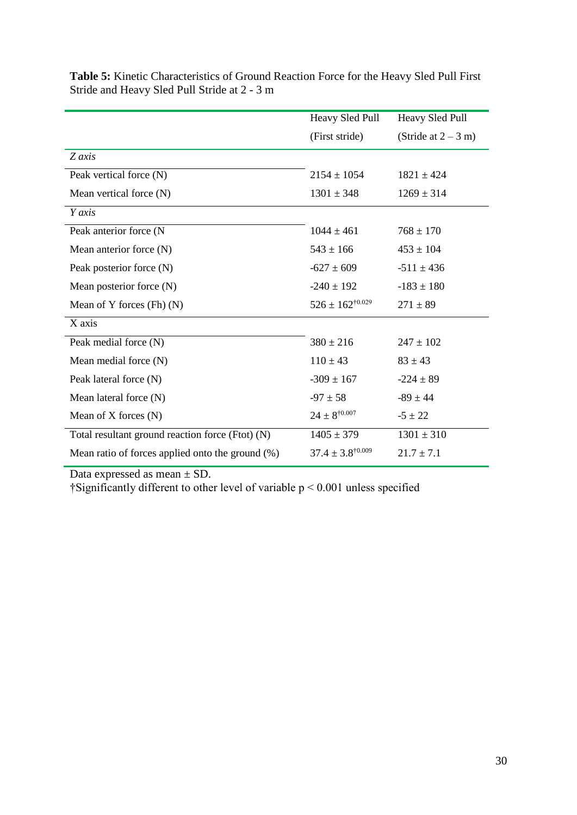|                                                     | Heavy Sled Pull                  | Heavy Sled Pull       |
|-----------------------------------------------------|----------------------------------|-----------------------|
|                                                     | (First stride)                   | (Stride at $2 - 3$ m) |
| Z axis                                              |                                  |                       |
| Peak vertical force (N)                             | $2154 \pm 1054$                  | $1821 \pm 424$        |
| Mean vertical force $(N)$                           | $1301 \pm 348$                   | $1269 \pm 314$        |
| Y axis                                              |                                  |                       |
| Peak anterior force (N                              | $1044 \pm 461$                   | $768 \pm 170$         |
| Mean anterior force (N)                             | $543 \pm 166$                    | $453 \pm 104$         |
| Peak posterior force (N)                            | $-627 \pm 609$                   | $-511 \pm 436$        |
| Mean posterior force (N)                            | $-240 \pm 192$                   | $-183 \pm 180$        |
| Mean of Y forces $(Fh)$ $(N)$                       | $526 \pm 162^{\dagger0.029}$     | $271 \pm 89$          |
| X axis                                              |                                  |                       |
| Peak medial force (N)                               | $380 \pm 216$                    | $247 \pm 102$         |
| Mean medial force $(N)$                             | $110 \pm 43$                     | $83 \pm 43$           |
| Peak lateral force (N)                              | $-309 \pm 167$                   | $-224 \pm 89$         |
| Mean lateral force (N)                              | $-97 \pm 58$                     | $-89 \pm 44$          |
| Mean of $X$ forces $(N)$                            | $24 \pm 8^{\dagger 0.007}$       | $-5 \pm 22$           |
| Total resultant ground reaction force (Ftot) (N)    | $1405 \pm 379$                   | $1301 \pm 310$        |
| Mean ratio of forces applied onto the ground $(\%)$ | $37.4 \pm 3.8$ <sup>†0.009</sup> | $21.7 \pm 7.1$        |

<span id="page-30-0"></span>**Table 5:** Kinetic Characteristics of Ground Reaction Force for the Heavy Sled Pull First Stride and Heavy Sled Pull Stride at 2 - 3 m

Data expressed as mean  $\pm$  SD.

†Significantly different to other level of variable p < 0.001 unless specified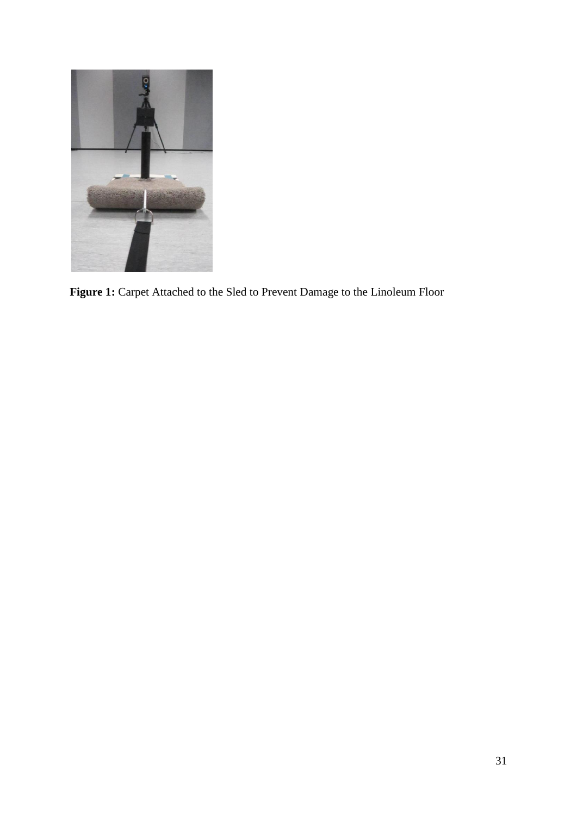<span id="page-31-0"></span>

**Figure 1:** Carpet Attached to the Sled to Prevent Damage to the Linoleum Floor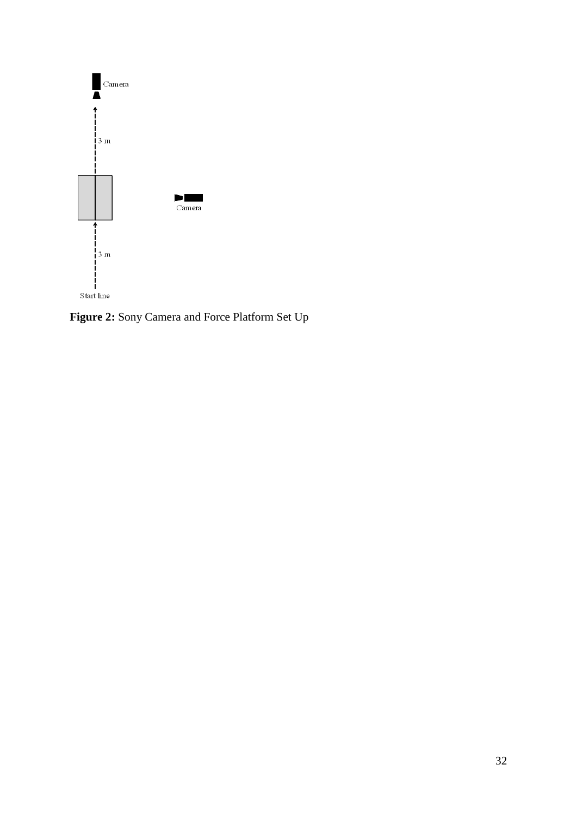

<span id="page-32-0"></span>**Figure 2:** Sony Camera and Force Platform Set Up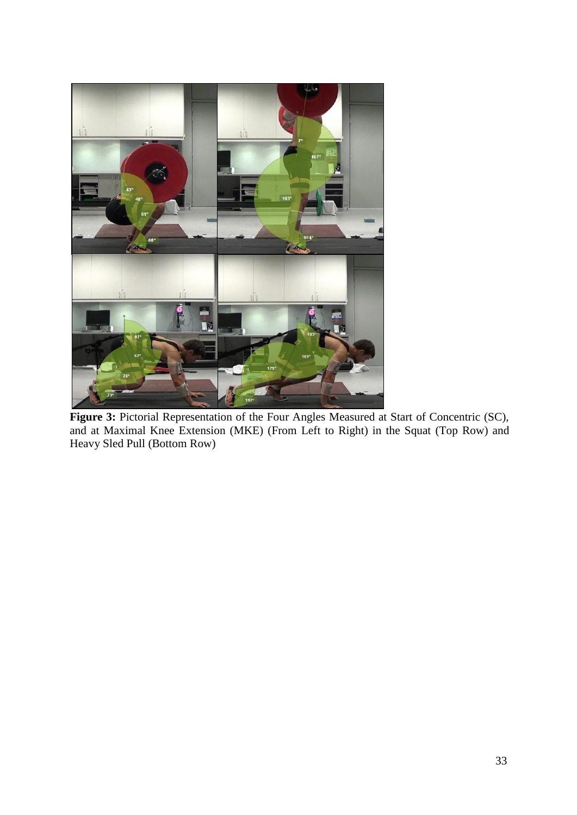<span id="page-33-0"></span>

**Figure 3:** Pictorial Representation of the Four Angles Measured at Start of Concentric (SC), and at Maximal Knee Extension (MKE) (From Left to Right) in the Squat (Top Row) and Heavy Sled Pull (Bottom Row)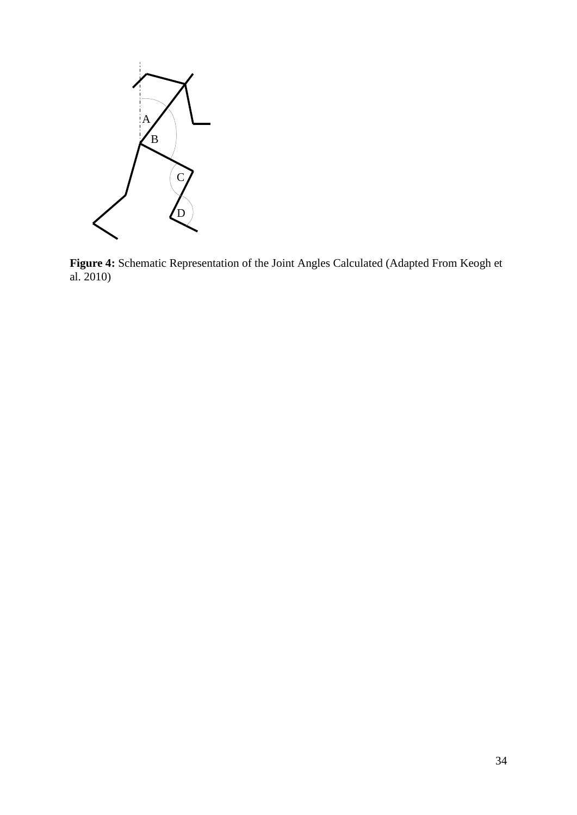

<span id="page-34-0"></span>**Figure 4:** Schematic Representation of the Joint Angles Calculated (Adapted From Keogh et al. 2010)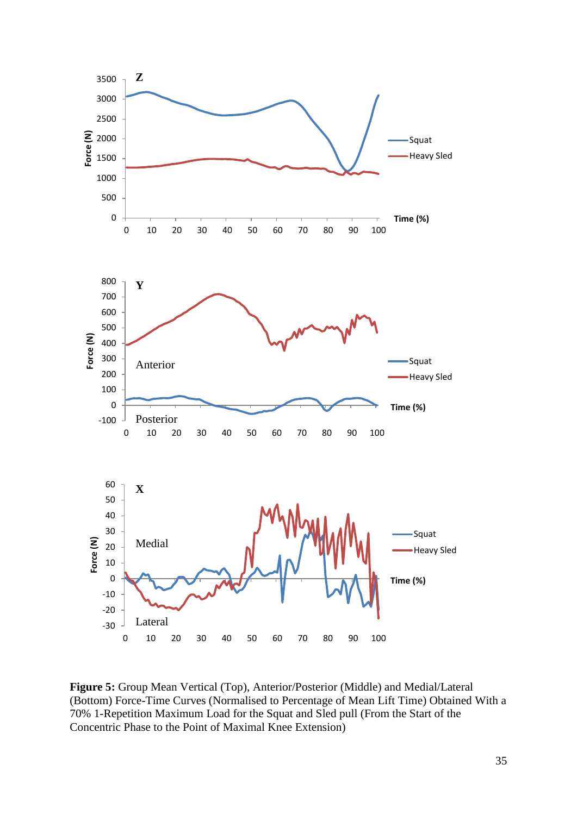

<span id="page-35-0"></span>**Figure 5:** Group Mean Vertical (Top), Anterior/Posterior (Middle) and Medial/Lateral (Bottom) Force-Time Curves (Normalised to Percentage of Mean Lift Time) Obtained With a 70% 1-Repetition Maximum Load for the Squat and Sled pull (From the Start of the Concentric Phase to the Point of Maximal Knee Extension)